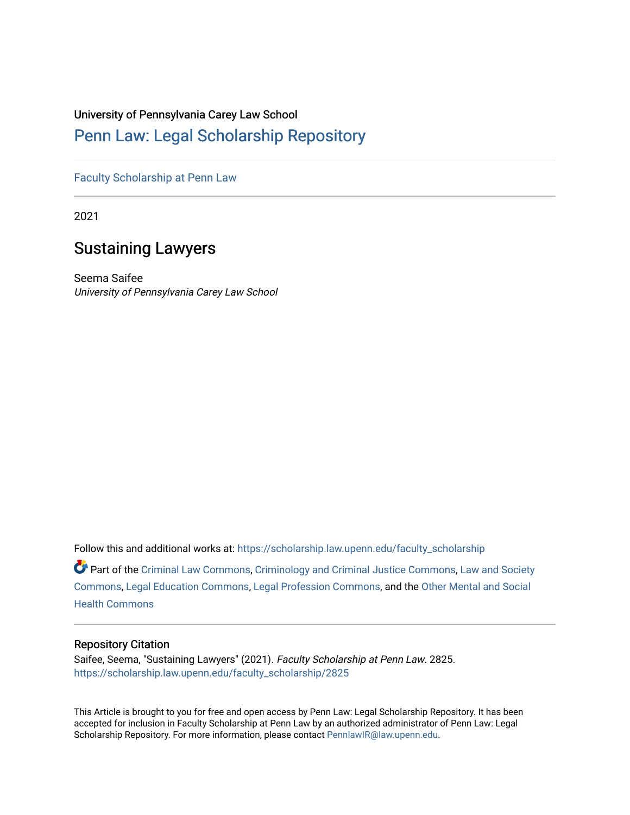# University of Pennsylvania Carey Law School

# [Penn Law: Legal Scholarship Repository](https://scholarship.law.upenn.edu/)

[Faculty Scholarship at Penn Law](https://scholarship.law.upenn.edu/faculty_scholarship)

2021

# Sustaining Lawyers

Seema Saifee University of Pennsylvania Carey Law School

Follow this and additional works at: [https://scholarship.law.upenn.edu/faculty\\_scholarship](https://scholarship.law.upenn.edu/faculty_scholarship?utm_source=scholarship.law.upenn.edu%2Ffaculty_scholarship%2F2825&utm_medium=PDF&utm_campaign=PDFCoverPages) 

Part of the [Criminal Law Commons,](http://network.bepress.com/hgg/discipline/912?utm_source=scholarship.law.upenn.edu%2Ffaculty_scholarship%2F2825&utm_medium=PDF&utm_campaign=PDFCoverPages) [Criminology and Criminal Justice Commons](http://network.bepress.com/hgg/discipline/367?utm_source=scholarship.law.upenn.edu%2Ffaculty_scholarship%2F2825&utm_medium=PDF&utm_campaign=PDFCoverPages), Law and Society [Commons](http://network.bepress.com/hgg/discipline/853?utm_source=scholarship.law.upenn.edu%2Ffaculty_scholarship%2F2825&utm_medium=PDF&utm_campaign=PDFCoverPages), [Legal Education Commons](http://network.bepress.com/hgg/discipline/857?utm_source=scholarship.law.upenn.edu%2Ffaculty_scholarship%2F2825&utm_medium=PDF&utm_campaign=PDFCoverPages), [Legal Profession Commons,](http://network.bepress.com/hgg/discipline/1075?utm_source=scholarship.law.upenn.edu%2Ffaculty_scholarship%2F2825&utm_medium=PDF&utm_campaign=PDFCoverPages) and the [Other Mental and Social](http://network.bepress.com/hgg/discipline/717?utm_source=scholarship.law.upenn.edu%2Ffaculty_scholarship%2F2825&utm_medium=PDF&utm_campaign=PDFCoverPages)  [Health Commons](http://network.bepress.com/hgg/discipline/717?utm_source=scholarship.law.upenn.edu%2Ffaculty_scholarship%2F2825&utm_medium=PDF&utm_campaign=PDFCoverPages) 

# Repository Citation

Saifee, Seema, "Sustaining Lawyers" (2021). Faculty Scholarship at Penn Law. 2825. [https://scholarship.law.upenn.edu/faculty\\_scholarship/2825](https://scholarship.law.upenn.edu/faculty_scholarship/2825?utm_source=scholarship.law.upenn.edu%2Ffaculty_scholarship%2F2825&utm_medium=PDF&utm_campaign=PDFCoverPages)

This Article is brought to you for free and open access by Penn Law: Legal Scholarship Repository. It has been accepted for inclusion in Faculty Scholarship at Penn Law by an authorized administrator of Penn Law: Legal Scholarship Repository. For more information, please contact [PennlawIR@law.upenn.edu.](mailto:PennlawIR@law.upenn.edu)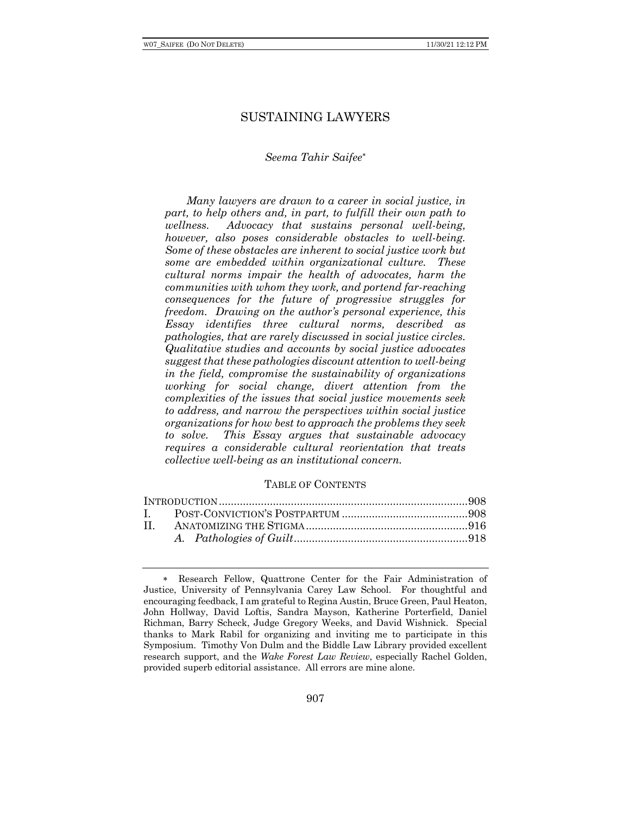# SUSTAINING LAWYERS

# *Seema Tahir Saifee*\*

*Many lawyers are drawn to a career in social justice, in part, to help others and, in part, to fulfill their own path to wellness. Advocacy that sustains personal well-being, however, also poses considerable obstacles to well-being. Some of these obstacles are inherent to social justice work but some are embedded within organizational culture. These cultural norms impair the health of advocates, harm the communities with whom they work, and portend far-reaching consequences for the future of progressive struggles for freedom. Drawing on the author's personal experience, this Essay identifies three cultural norms, described as pathologies, that are rarely discussed in social justice circles. Qualitative studies and accounts by social justice advocates suggest that these pathologies discount attention to well-being in the field, compromise the sustainability of organizations working for social change, divert attention from the complexities of the issues that social justice movements seek to address, and narrow the perspectives within social justice organizations for how best to approach the problems they seek to solve. This Essay argues that sustainable advocacy requires a considerable cultural reorientation that treats collective well-being as an institutional concern.*

## TABLE OF CONTENTS

<sup>\*</sup>. Research Fellow, Quattrone Center for the Fair Administration of Justice, University of Pennsylvania Carey Law School. For thoughtful and encouraging feedback, I am grateful to Regina Austin, Bruce Green, Paul Heaton, John Hollway, David Loftis, Sandra Mayson, Katherine Porterfield, Daniel Richman, Barry Scheck, Judge Gregory Weeks, and David Wishnick. Special thanks to Mark Rabil for organizing and inviting me to participate in this Symposium. Timothy Von Dulm and the Biddle Law Library provided excellent research support, and the *Wake Forest Law Review*, especially Rachel Golden, provided superb editorial assistance. All errors are mine alone.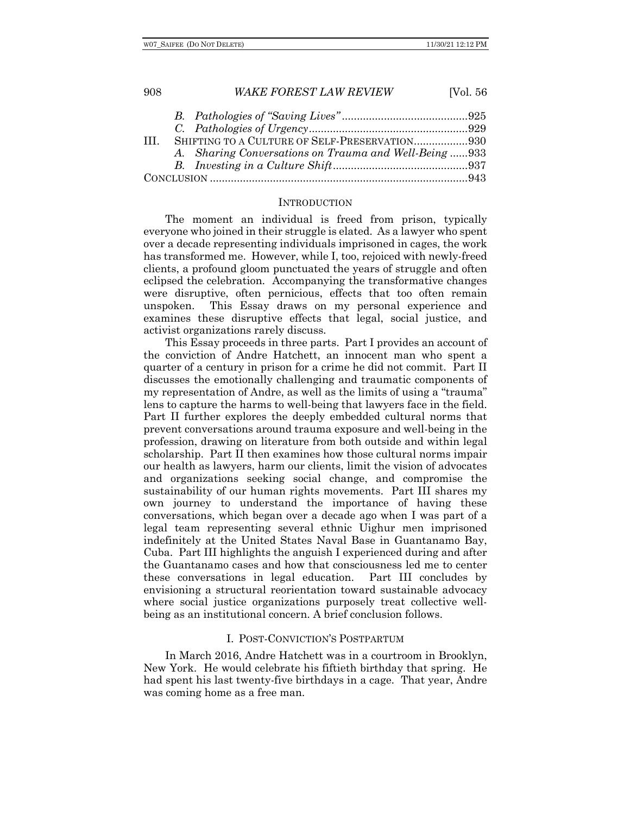| -HI | SHIFTING TO A CULTURE OF SELF-PRESERVATION930        |  |
|-----|------------------------------------------------------|--|
|     | A. Sharing Conversations on Trauma and Well-Being933 |  |
|     |                                                      |  |
|     |                                                      |  |

## **INTRODUCTION**

The moment an individual is freed from prison, typically everyone who joined in their struggle is elated. As a lawyer who spent over a decade representing individuals imprisoned in cages, the work has transformed me. However, while I, too, rejoiced with newly-freed clients, a profound gloom punctuated the years of struggle and often eclipsed the celebration. Accompanying the transformative changes were disruptive, often pernicious, effects that too often remain unspoken. This Essay draws on my personal experience and examines these disruptive effects that legal, social justice, and activist organizations rarely discuss.

This Essay proceeds in three parts. Part I provides an account of the conviction of Andre Hatchett, an innocent man who spent a quarter of a century in prison for a crime he did not commit. Part II discusses the emotionally challenging and traumatic components of my representation of Andre, as well as the limits of using a "trauma" lens to capture the harms to well-being that lawyers face in the field. Part II further explores the deeply embedded cultural norms that prevent conversations around trauma exposure and well-being in the profession, drawing on literature from both outside and within legal scholarship. Part II then examines how those cultural norms impair our health as lawyers, harm our clients, limit the vision of advocates and organizations seeking social change, and compromise the sustainability of our human rights movements. Part III shares my own journey to understand the importance of having these conversations, which began over a decade ago when I was part of a legal team representing several ethnic Uighur men imprisoned indefinitely at the United States Naval Base in Guantanamo Bay, Cuba. Part III highlights the anguish I experienced during and after the Guantanamo cases and how that consciousness led me to center these conversations in legal education. Part III concludes by envisioning a structural reorientation toward sustainable advocacy where social justice organizations purposely treat collective wellbeing as an institutional concern. A brief conclusion follows.

# I. POST-CONVICTION'S POSTPARTUM

In March 2016, Andre Hatchett was in a courtroom in Brooklyn, New York. He would celebrate his fiftieth birthday that spring. He had spent his last twenty-five birthdays in a cage. That year, Andre was coming home as a free man.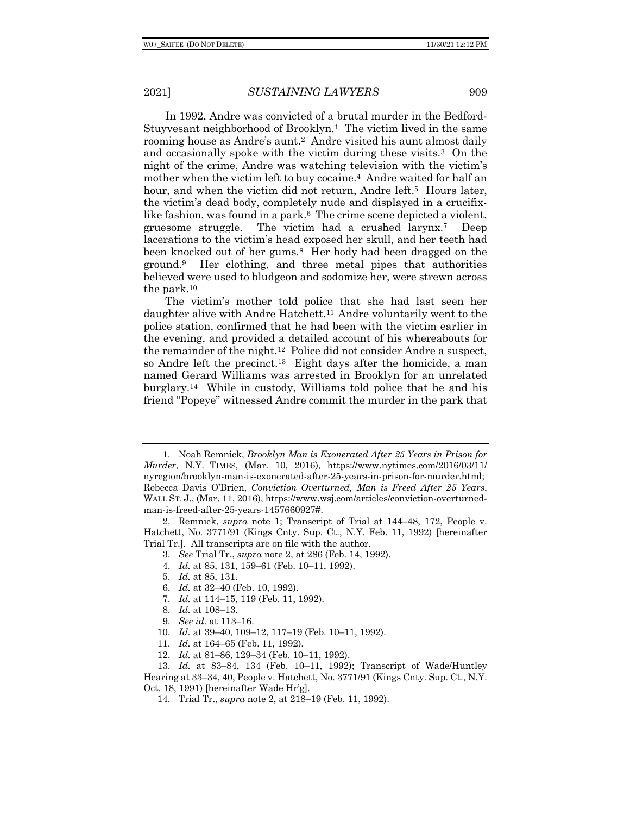In 1992, Andre was convicted of a brutal murder in the Bedford-Stuyvesant neighborhood of Brooklyn.<sup>1</sup> The victim lived in the same rooming house as Andre's aunt.2 Andre visited his aunt almost daily and occasionally spoke with the victim during these visits.3 On the night of the crime, Andre was watching television with the victim's mother when the victim left to buy cocaine.4 Andre waited for half an hour, and when the victim did not return, Andre left.<sup>5</sup> Hours later, the victim's dead body, completely nude and displayed in a crucifixlike fashion, was found in a park.<sup>6</sup> The crime scene depicted a violent, gruesome struggle. The victim had a crushed larynx.7 Deep lacerations to the victim's head exposed her skull, and her teeth had been knocked out of her gums.8 Her body had been dragged on the ground.9 Her clothing, and three metal pipes that authorities believed were used to bludgeon and sodomize her, were strewn across the park.10

The victim's mother told police that she had last seen her daughter alive with Andre Hatchett.11 Andre voluntarily went to the police station, confirmed that he had been with the victim earlier in the evening, and provided a detailed account of his whereabouts for the remainder of the night.12 Police did not consider Andre a suspect, so Andre left the precinct.13 Eight days after the homicide, a man named Gerard Williams was arrested in Brooklyn for an unrelated burglary.14 While in custody, Williams told police that he and his friend "Popeye" witnessed Andre commit the murder in the park that

- 3. *See* Trial Tr., *supra* note 2, at 286 (Feb. 14, 1992).
- 4. *Id.* at 85, 131, 159–61 (Feb. 10–11, 1992).
- 5. *Id.* at 85, 131.
- 6. *Id.* at 32–40 (Feb. 10, 1992).
- 7. *Id.* at 114–15, 119 (Feb. 11, 1992).
- 8. *Id.* at 108–13.
- 9. *See id.* at 113–16.
- 10. *Id.* at 39–40, 109–12, 117–19 (Feb. 10–11, 1992).
- 11. *Id.* at 164–65 (Feb. 11, 1992).
- 12. *Id.* at 81–86, 129–34 (Feb. 10–11, 1992).

13. *Id.* at 83–84, 134 (Feb. 10–11, 1992); Transcript of Wade/Huntley Hearing at 33–34, 40, People v. Hatchett, No. 3771/91 (Kings Cnty. Sup. Ct., N.Y. Oct. 18, 1991) [hereinafter Wade Hr'g].

14. Trial Tr., *supra* note 2, at 218–19 (Feb. 11, 1992).

<sup>1.</sup> Noah Remnick, *Brooklyn Man is Exonerated After 25 Years in Prison for Murder*, N.Y. TIMES, (Mar. 10, 2016), https://www.nytimes.com/2016/03/11/ nyregion/brooklyn-man-is-exonerated-after-25-years-in-prison-for-murder.html; Rebecca Davis O'Brien, *Conviction Overturned, Man is Freed After 25 Years*, WALL ST. J., (Mar. 11, 2016), https://www.wsj.com/articles/conviction-overturnedman-is-freed-after-25-years-1457660927#.

<sup>2.</sup> Remnick, *supra* note 1; Transcript of Trial at 144–48, 172, People v. Hatchett, No. 3771/91 (Kings Cnty. Sup. Ct., N.Y. Feb. 11, 1992) [hereinafter Trial Tr.]. All transcripts are on file with the author.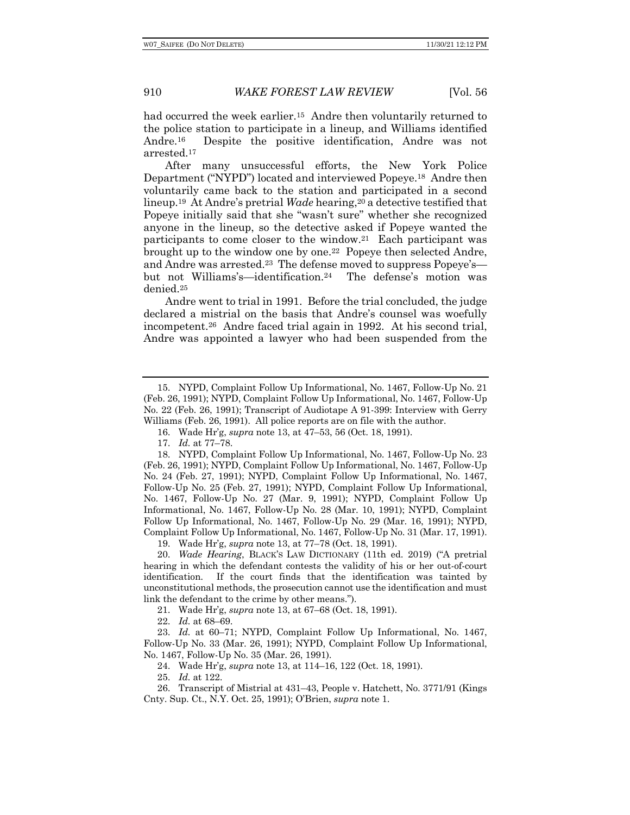had occurred the week earlier.<sup>15</sup> Andre then voluntarily returned to the police station to participate in a lineup, and Williams identified Andre.16 Despite the positive identification, Andre was not arrested.17

After many unsuccessful efforts, the New York Police Department ("NYPD") located and interviewed Popeye.18 Andre then voluntarily came back to the station and participated in a second lineup.19 At Andre's pretrial *Wade* hearing,20 a detective testified that Popeye initially said that she "wasn't sure" whether she recognized anyone in the lineup, so the detective asked if Popeye wanted the participants to come closer to the window.21 Each participant was brought up to the window one by one.22 Popeye then selected Andre, and Andre was arrested.23 The defense moved to suppress Popeye's but not Williams's—identification.24 The defense's motion was denied.25

Andre went to trial in 1991. Before the trial concluded, the judge declared a mistrial on the basis that Andre's counsel was woefully incompetent.26 Andre faced trial again in 1992. At his second trial, Andre was appointed a lawyer who had been suspended from the

21. Wade Hr'g, *supra* note 13, at 67–68 (Oct. 18, 1991).

22. *Id.* at 68–69.

23. *Id.* at 60–71; NYPD, Complaint Follow Up Informational, No. 1467, Follow-Up No. 33 (Mar. 26, 1991); NYPD, Complaint Follow Up Informational, No. 1467, Follow-Up No. 35 (Mar. 26, 1991).

24. Wade Hr'g, *supra* note 13, at 114–16, 122 (Oct. 18, 1991).

25. *Id.* at 122.

26. Transcript of Mistrial at 431–43, People v. Hatchett, No. 3771/91 (Kings Cnty. Sup. Ct., N.Y. Oct. 25, 1991); O'Brien, *supra* note 1.

<sup>15.</sup> NYPD, Complaint Follow Up Informational, No. 1467, Follow-Up No. 21 (Feb. 26, 1991); NYPD, Complaint Follow Up Informational, No. 1467, Follow-Up No. 22 (Feb. 26, 1991); Transcript of Audiotape A 91-399: Interview with Gerry Williams (Feb. 26, 1991). All police reports are on file with the author.

<sup>16.</sup> Wade Hr'g, *supra* note 13, at 47–53, 56 (Oct. 18, 1991).

<sup>17.</sup> *Id.* at 77–78.

<sup>18.</sup> NYPD, Complaint Follow Up Informational, No. 1467, Follow-Up No. 23 (Feb. 26, 1991); NYPD, Complaint Follow Up Informational, No. 1467, Follow-Up No. 24 (Feb. 27, 1991); NYPD, Complaint Follow Up Informational, No. 1467, Follow-Up No. 25 (Feb. 27, 1991); NYPD, Complaint Follow Up Informational, No. 1467, Follow-Up No. 27 (Mar. 9, 1991); NYPD, Complaint Follow Up Informational, No. 1467, Follow-Up No. 28 (Mar. 10, 1991); NYPD, Complaint Follow Up Informational, No. 1467, Follow-Up No. 29 (Mar. 16, 1991); NYPD, Complaint Follow Up Informational, No. 1467, Follow-Up No. 31 (Mar. 17, 1991).

<sup>19.</sup> Wade Hr'g, *supra* note 13, at 77–78 (Oct. 18, 1991).

<sup>20.</sup> *Wade Hearing*, BLACK'S LAW DICTIONARY (11th ed. 2019) ("A pretrial hearing in which the defendant contests the validity of his or her out-of-court identification. If the court finds that the identification was tainted by unconstitutional methods, the prosecution cannot use the identification and must link the defendant to the crime by other means.").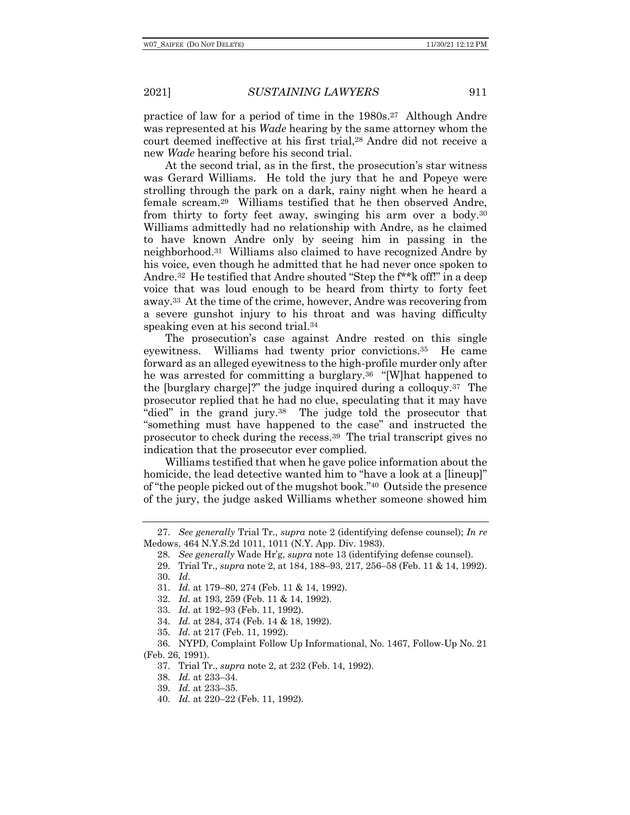practice of law for a period of time in the 1980s.27 Although Andre was represented at his *Wade* hearing by the same attorney whom the court deemed ineffective at his first trial,28 Andre did not receive a new *Wade* hearing before his second trial.

At the second trial, as in the first, the prosecution's star witness was Gerard Williams. He told the jury that he and Popeye were strolling through the park on a dark, rainy night when he heard a female scream.29 Williams testified that he then observed Andre, from thirty to forty feet away, swinging his arm over a body.30 Williams admittedly had no relationship with Andre, as he claimed to have known Andre only by seeing him in passing in the neighborhood.31 Williams also claimed to have recognized Andre by his voice, even though he admitted that he had never once spoken to Andre.32 He testified that Andre shouted "Step the f\*\*k off!" in a deep voice that was loud enough to be heard from thirty to forty feet away.33 At the time of the crime, however, Andre was recovering from a severe gunshot injury to his throat and was having difficulty speaking even at his second trial.<sup>34</sup>

The prosecution's case against Andre rested on this single eyewitness. Williams had twenty prior convictions.35 He came forward as an alleged eyewitness to the high-profile murder only after he was arrested for committing a burglary.36 "[W]hat happened to the [burglary charge]?" the judge inquired during a colloquy.37 The prosecutor replied that he had no clue, speculating that it may have "died" in the grand jury.38 The judge told the prosecutor that "something must have happened to the case" and instructed the prosecutor to check during the recess.39 The trial transcript gives no indication that the prosecutor ever complied.

Williams testified that when he gave police information about the homicide, the lead detective wanted him to "have a look at a [lineup]" of "the people picked out of the mugshot book."40 Outside the presence of the jury, the judge asked Williams whether someone showed him

34. *Id.* at 284, 374 (Feb. 14 & 18, 1992).

- 39. *Id.* at 233–35.
- 40. *Id.* at 220–22 (Feb. 11, 1992).

<sup>27.</sup> *See generally* Trial Tr., *supra* note 2 (identifying defense counsel); *In re* Medows, 464 N.Y.S.2d 1011, 1011 (N.Y. App. Div. 1983).

<sup>28.</sup> *See generally* Wade Hr'g, *supra* note 13 (identifying defense counsel).

<sup>29.</sup> Trial Tr., *supra* note 2, at 184, 188–93, 217, 256–58 (Feb. 11 & 14, 1992). 30. *Id.*

<sup>31.</sup> *Id.* at 179–80, 274 (Feb. 11 & 14, 1992).

<sup>32.</sup> *Id.* at 193, 259 (Feb. 11 & 14, 1992).

<sup>33.</sup> *Id.* at 192–93 (Feb. 11, 1992).

<sup>35.</sup> *Id.* at 217 (Feb. 11, 1992).

<sup>36.</sup> NYPD, Complaint Follow Up Informational, No. 1467, Follow-Up No. 21 (Feb. 26, 1991).

<sup>37.</sup> Trial Tr., *supra* note 2, at 232 (Feb. 14, 1992).

<sup>38.</sup> *Id.* at 233–34.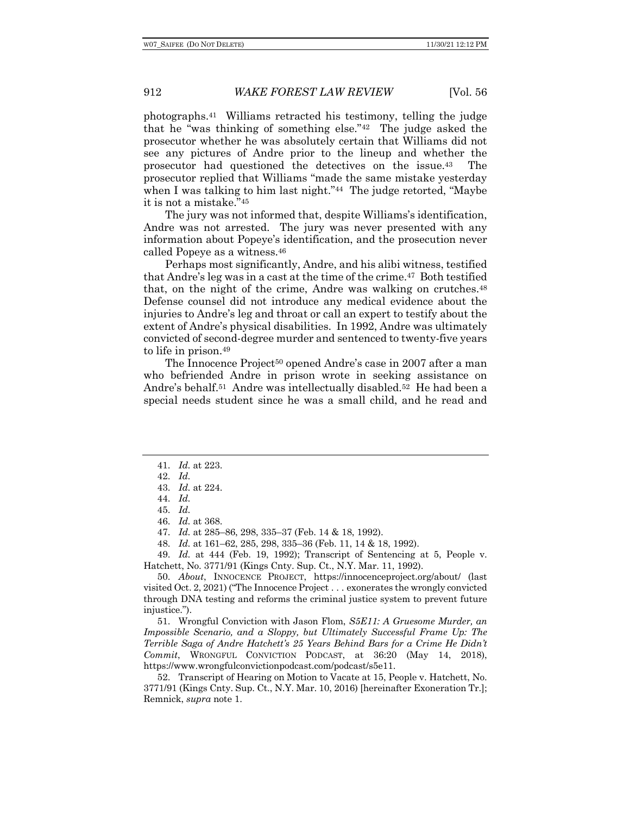photographs.41 Williams retracted his testimony, telling the judge that he "was thinking of something else."42 The judge asked the prosecutor whether he was absolutely certain that Williams did not see any pictures of Andre prior to the lineup and whether the prosecutor had questioned the detectives on the issue.43 The prosecutor replied that Williams "made the same mistake yesterday when I was talking to him last night."<sup>44</sup> The judge retorted, "Maybe" it is not a mistake."45

The jury was not informed that, despite Williams's identification, Andre was not arrested. The jury was never presented with any information about Popeye's identification, and the prosecution never called Popeye as a witness.46

Perhaps most significantly, Andre, and his alibi witness, testified that Andre's leg was in a cast at the time of the crime.47 Both testified that, on the night of the crime, Andre was walking on crutches.48 Defense counsel did not introduce any medical evidence about the injuries to Andre's leg and throat or call an expert to testify about the extent of Andre's physical disabilities. In 1992, Andre was ultimately convicted of second-degree murder and sentenced to twenty-five years to life in prison.49

The Innocence Project<sup>50</sup> opened Andre's case in 2007 after a man who befriended Andre in prison wrote in seeking assistance on Andre's behalf.<sup>51</sup> Andre was intellectually disabled.<sup>52</sup> He had been a special needs student since he was a small child, and he read and

48. *Id.* at 161–62, 285, 298, 335–36 (Feb. 11, 14 & 18, 1992).

49. *Id.* at 444 (Feb. 19, 1992); Transcript of Sentencing at 5, People v. Hatchett, No. 3771/91 (Kings Cnty. Sup. Ct., N.Y. Mar. 11, 1992).

50. *About*, INNOCENCE PROJECT, https://innocenceproject.org/about/ (last visited Oct. 2, 2021) ("The Innocence Project . . . exonerates the wrongly convicted through DNA testing and reforms the criminal justice system to prevent future injustice.").

51. Wrongful Conviction with Jason Flom, *S5E11: A Gruesome Murder, an Impossible Scenario, and a Sloppy, but Ultimately Successful Frame Up: The Terrible Saga of Andre Hatchett's 25 Years Behind Bars for a Crime He Didn't Commit*, WRONGFUL CONVICTION PODCAST, at 36:20 (May 14, 2018), https://www.wrongfulconvictionpodcast.com/podcast/s5e11.

52. Transcript of Hearing on Motion to Vacate at 15, People v. Hatchett, No. 3771/91 (Kings Cnty. Sup. Ct., N.Y. Mar. 10, 2016) [hereinafter Exoneration Tr.]; Remnick, *supra* note 1.

<sup>41.</sup> *Id.* at 223.

<sup>42.</sup> *Id.*

<sup>43.</sup> *Id.* at 224.

<sup>44.</sup> *Id.*

<sup>45.</sup> *Id.*

<sup>46.</sup> *Id.* at 368.

<sup>47.</sup> *Id.* at 285–86, 298, 335–37 (Feb. 14 & 18, 1992).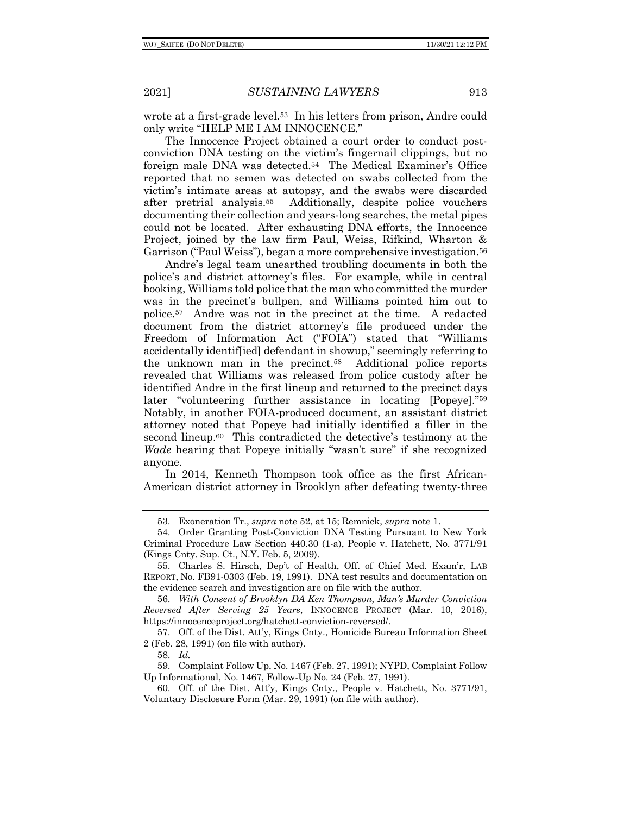wrote at a first-grade level.53 In his letters from prison, Andre could only write "HELP ME I AM INNOCENCE."

The Innocence Project obtained a court order to conduct postconviction DNA testing on the victim's fingernail clippings, but no foreign male DNA was detected.54 The Medical Examiner's Office reported that no semen was detected on swabs collected from the victim's intimate areas at autopsy, and the swabs were discarded after pretrial analysis.55 Additionally, despite police vouchers documenting their collection and years-long searches, the metal pipes could not be located. After exhausting DNA efforts, the Innocence Project, joined by the law firm Paul, Weiss, Rifkind, Wharton & Garrison ("Paul Weiss"), began a more comprehensive investigation.56

Andre's legal team unearthed troubling documents in both the police's and district attorney's files. For example, while in central booking, Williams told police that the man who committed the murder was in the precinct's bullpen, and Williams pointed him out to police.57 Andre was not in the precinct at the time. A redacted document from the district attorney's file produced under the Freedom of Information Act ("FOIA") stated that "Williams accidentally identif[ied] defendant in showup," seemingly referring to the unknown man in the precinct.58 Additional police reports revealed that Williams was released from police custody after he identified Andre in the first lineup and returned to the precinct days later "volunteering further assistance in locating [Popeye]."59 Notably, in another FOIA-produced document, an assistant district attorney noted that Popeye had initially identified a filler in the second lineup.60 This contradicted the detective's testimony at the *Wade* hearing that Popeye initially "wasn't sure" if she recognized anyone.

In 2014, Kenneth Thompson took office as the first African-American district attorney in Brooklyn after defeating twenty-three

57. Off. of the Dist. Att'y, Kings Cnty., Homicide Bureau Information Sheet 2 (Feb. 28, 1991) (on file with author).

58. *Id.*

59. Complaint Follow Up, No. 1467 (Feb. 27, 1991); NYPD, Complaint Follow Up Informational, No. 1467, Follow-Up No. 24 (Feb. 27, 1991).

60. Off. of the Dist. Att'y, Kings Cnty., People v. Hatchett, No. 3771/91, Voluntary Disclosure Form (Mar. 29, 1991) (on file with author).

<sup>53.</sup> Exoneration Tr., *supra* note 52, at 15; Remnick, *supra* note 1.

<sup>54.</sup> Order Granting Post-Conviction DNA Testing Pursuant to New York Criminal Procedure Law Section 440.30 (1-a), People v. Hatchett, No. 3771/91 (Kings Cnty. Sup. Ct., N.Y. Feb. 5, 2009).

<sup>55.</sup> Charles S. Hirsch, Dep't of Health, Off. of Chief Med. Exam'r, LAB REPORT, No. FB91-0303 (Feb. 19, 1991). DNA test results and documentation on the evidence search and investigation are on file with the author.

<sup>56.</sup> *With Consent of Brooklyn DA Ken Thompson, Man's Murder Conviction Reversed After Serving 25 Years*, INNOCENCE PROJECT (Mar. 10, 2016), https://innocenceproject.org/hatchett-conviction-reversed/.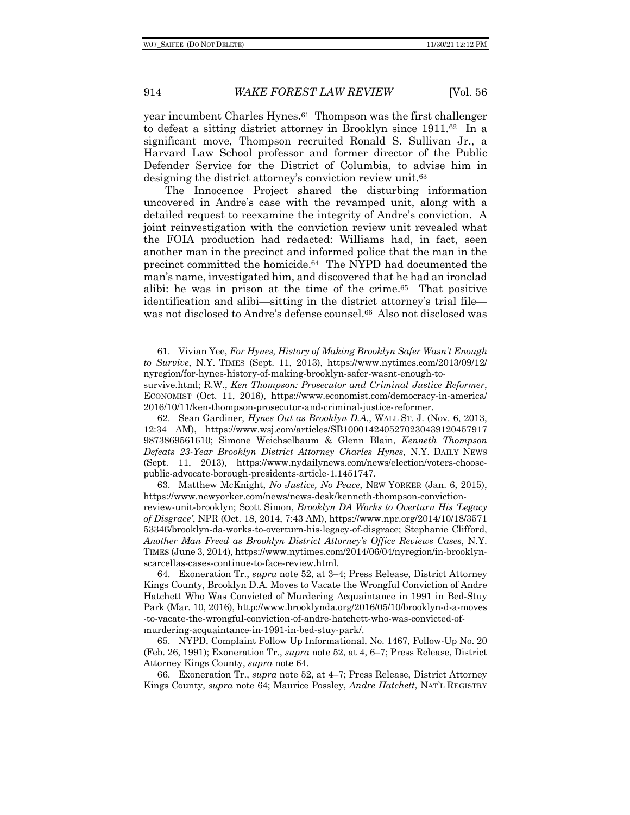year incumbent Charles Hynes.61 Thompson was the first challenger to defeat a sitting district attorney in Brooklyn since 1911.62 In a significant move, Thompson recruited Ronald S. Sullivan Jr., a Harvard Law School professor and former director of the Public Defender Service for the District of Columbia, to advise him in designing the district attorney's conviction review unit.63

The Innocence Project shared the disturbing information uncovered in Andre's case with the revamped unit, along with a detailed request to reexamine the integrity of Andre's conviction. A joint reinvestigation with the conviction review unit revealed what the FOIA production had redacted: Williams had, in fact, seen another man in the precinct and informed police that the man in the precinct committed the homicide.64 The NYPD had documented the man's name, investigated him, and discovered that he had an ironclad alibi: he was in prison at the time of the crime.65 That positive identification and alibi—sitting in the district attorney's trial file was not disclosed to Andre's defense counsel.66 Also not disclosed was

62. Sean Gardiner, *Hynes Out as Brooklyn D.A.*, WALL ST. J. (Nov. 6, 2013, 12:34 AM), https://www.wsj.com/articles/SB1000142405270230439120457917 9873869561610; Simone Weichselbaum & Glenn Blain, *Kenneth Thompson Defeats 23-Year Brooklyn District Attorney Charles Hynes*, N.Y. DAILY NEWS (Sept. 11, 2013), https://www.nydailynews.com/news/election/voters-choosepublic-advocate-borough-presidents-article-1.1451747.

63. Matthew McKnight, *No Justice, No Peace*, NEW YORKER (Jan. 6, 2015), https://www.newyorker.com/news/news-desk/kenneth-thompson-convictionreview-unit-brooklyn; Scott Simon, *Brooklyn DA Works to Overturn His 'Legacy of Disgrace'*, NPR (Oct. 18, 2014, 7:43 AM), https://www.npr.org/2014/10/18/3571 53346/brooklyn-da-works-to-overturn-his-legacy-of-disgrace; Stephanie Clifford, *Another Man Freed as Brooklyn District Attorney's Office Reviews Cases*, N.Y. TIMES (June 3, 2014), https://www.nytimes.com/2014/06/04/nyregion/in-brooklynscarcellas-cases-continue-to-face-review.html.

64. Exoneration Tr., *supra* note 52, at 3–4; Press Release, District Attorney Kings County, Brooklyn D.A. Moves to Vacate the Wrongful Conviction of Andre Hatchett Who Was Convicted of Murdering Acquaintance in 1991 in Bed-Stuy Park (Mar. 10, 2016), http://www.brooklynda.org/2016/05/10/brooklyn-d-a-moves -to-vacate-the-wrongful-conviction-of-andre-hatchett-who-was-convicted-ofmurdering-acquaintance-in-1991-in-bed-stuy-park/.

65. NYPD, Complaint Follow Up Informational, No. 1467, Follow-Up No. 20 (Feb. 26, 1991); Exoneration Tr., *supra* note 52, at 4, 6–7; Press Release, District Attorney Kings County, *supra* note 64.

66. Exoneration Tr., *supra* note 52, at 4–7; Press Release, District Attorney Kings County, *supra* note 64; Maurice Possley, *Andre Hatchett*, NAT'L REGISTRY

<sup>61.</sup> Vivian Yee, *For Hynes, History of Making Brooklyn Safer Wasn't Enough to Survive*, N.Y. TIMES (Sept. 11, 2013), https://www.nytimes.com/2013/09/12/ nyregion/for-hynes-history-of-making-brooklyn-safer-wasnt-enough-to-

survive.html; R.W., *Ken Thompson: Prosecutor and Criminal Justice Reformer*, ECONOMIST (Oct. 11, 2016), https://www.economist.com/democracy-in-america/ 2016/10/11/ken-thompson-prosecutor-and-criminal-justice-reformer.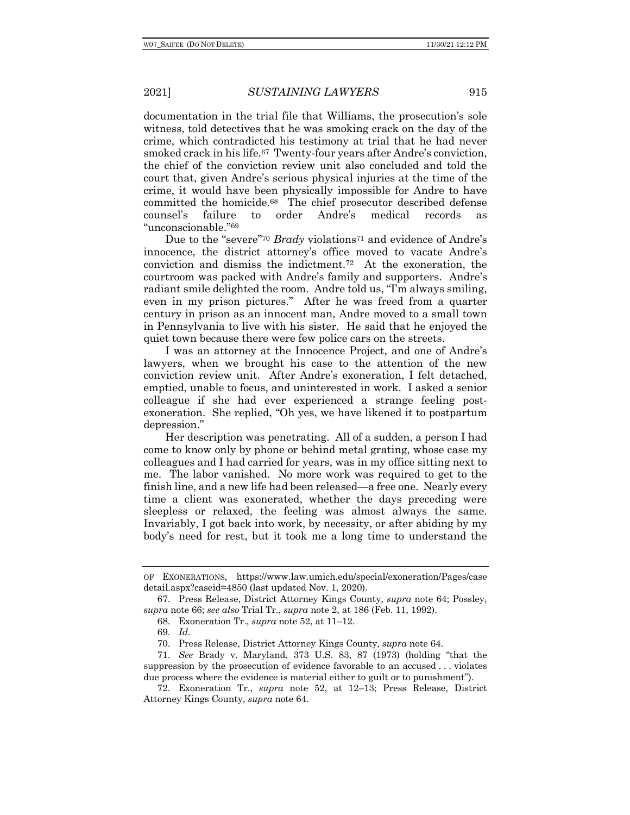documentation in the trial file that Williams, the prosecution's sole witness, told detectives that he was smoking crack on the day of the crime, which contradicted his testimony at trial that he had never smoked crack in his life.67 Twenty-four years after Andre's conviction, the chief of the conviction review unit also concluded and told the court that, given Andre's serious physical injuries at the time of the crime, it would have been physically impossible for Andre to have committed the homicide.68 The chief prosecutor described defense counsel's failure to order Andre's medical records as "unconscionable."69

Due to the "severe"<sup>70</sup> *Brady* violations<sup>71</sup> and evidence of Andre's innocence, the district attorney's office moved to vacate Andre's conviction and dismiss the indictment.72 At the exoneration, the courtroom was packed with Andre's family and supporters. Andre's radiant smile delighted the room. Andre told us, "I'm always smiling, even in my prison pictures." After he was freed from a quarter century in prison as an innocent man, Andre moved to a small town in Pennsylvania to live with his sister. He said that he enjoyed the quiet town because there were few police cars on the streets.

I was an attorney at the Innocence Project, and one of Andre's lawyers, when we brought his case to the attention of the new conviction review unit. After Andre's exoneration, I felt detached, emptied, unable to focus, and uninterested in work. I asked a senior colleague if she had ever experienced a strange feeling postexoneration. She replied, "Oh yes, we have likened it to postpartum depression."

Her description was penetrating. All of a sudden, a person I had come to know only by phone or behind metal grating, whose case my colleagues and I had carried for years, was in my office sitting next to me. The labor vanished. No more work was required to get to the finish line, and a new life had been released—a free one. Nearly every time a client was exonerated, whether the days preceding were sleepless or relaxed, the feeling was almost always the same. Invariably, I got back into work, by necessity, or after abiding by my body's need for rest, but it took me a long time to understand the

OF EXONERATIONS, https://www.law.umich.edu/special/exoneration/Pages/case detail.aspx?caseid=4850 (last updated Nov. 1, 2020).

<sup>67.</sup> Press Release, District Attorney Kings County, *supra* note 64; Possley, *supra* note 66; *see also* Trial Tr., *supra* note 2, at 186 (Feb. 11, 1992).

<sup>68.</sup> Exoneration Tr., *supra* note 52, at 11–12.

<sup>69.</sup> *Id.*

<sup>70.</sup> Press Release, District Attorney Kings County, *supra* note 64.

<sup>71.</sup> *See* Brady v. Maryland, 373 U.S. 83, 87 (1973) (holding "that the suppression by the prosecution of evidence favorable to an accused . . . violates due process where the evidence is material either to guilt or to punishment").

<sup>72.</sup> Exoneration Tr., *supra* note 52, at 12–13; Press Release, District Attorney Kings County, *supra* note 64.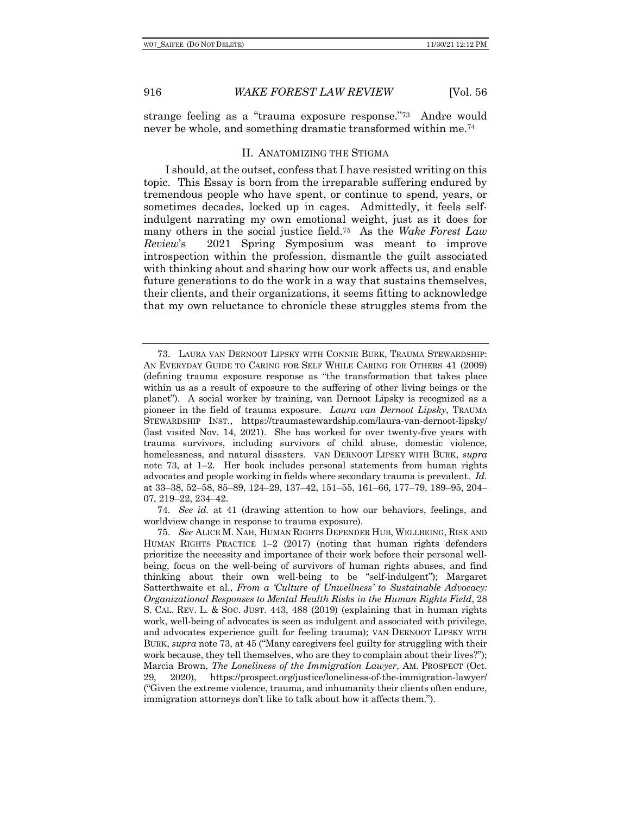strange feeling as a "trauma exposure response."73 Andre would never be whole, and something dramatic transformed within me.74

#### II. ANATOMIZING THE STIGMA

I should, at the outset, confess that I have resisted writing on this topic. This Essay is born from the irreparable suffering endured by tremendous people who have spent, or continue to spend, years, or sometimes decades, locked up in cages. Admittedly, it feels selfindulgent narrating my own emotional weight, just as it does for many others in the social justice field.75 As the *Wake Forest Law Review*'s 2021 Spring Symposium was meant to improve introspection within the profession, dismantle the guilt associated with thinking about and sharing how our work affects us, and enable future generations to do the work in a way that sustains themselves, their clients, and their organizations, it seems fitting to acknowledge that my own reluctance to chronicle these struggles stems from the

74. *See id.* at 41 (drawing attention to how our behaviors, feelings, and worldview change in response to trauma exposure).

<sup>73.</sup> LAURA VAN DERNOOT LIPSKY WITH CONNIE BURK, TRAUMA STEWARDSHIP: AN EVERYDAY GUIDE TO CARING FOR SELF WHILE CARING FOR OTHERS 41 (2009) (defining trauma exposure response as "the transformation that takes place within us as a result of exposure to the suffering of other living beings or the planet"). A social worker by training, van Dernoot Lipsky is recognized as a pioneer in the field of trauma exposure. *Laura van Dernoot Lipsky*, TRAUMA STEWARDSHIP INST., https://traumastewardship.com/laura-van-dernoot-lipsky/ (last visited Nov. 14, 2021). She has worked for over twenty-five years with trauma survivors, including survivors of child abuse, domestic violence, homelessness, and natural disasters. VAN DERNOOT LIPSKY WITH BURK, *supra* note 73, at 1–2. Her book includes personal statements from human rights advocates and people working in fields where secondary trauma is prevalent. *Id.* at 33–38, 52–58, 85–89, 124–29, 137–42, 151–55, 161–66, 177–79, 189–95, 204– 07, 219–22, 234–42.

<sup>75.</sup> *See* ALICE M. NAH, HUMAN RIGHTS DEFENDER HUB, WELLBEING, RISK AND HUMAN RIGHTS PRACTICE 1–2 (2017) (noting that human rights defenders prioritize the necessity and importance of their work before their personal wellbeing, focus on the well-being of survivors of human rights abuses, and find thinking about their own well-being to be "self-indulgent"); Margaret Satterthwaite et al., *From a 'Culture of Unwellness' to Sustainable Advocacy: Organizational Responses to Mental Health Risks in the Human Rights Field*, 28 S. CAL. REV. L. & SOC. JUST. 443, 488 (2019) (explaining that in human rights work, well-being of advocates is seen as indulgent and associated with privilege, and advocates experience guilt for feeling trauma); VAN DERNOOT LIPSKY WITH BURK, *supra* note 73, at 45 ("Many caregivers feel guilty for struggling with their work because, they tell themselves, who are they to complain about their lives?"); Marcia Brown, *The Loneliness of the Immigration Lawyer*, AM. PROSPECT (Oct. 29, 2020), https://prospect.org/justice/loneliness-of-the-immigration-lawyer/ ("Given the extreme violence, trauma, and inhumanity their clients often endure, immigration attorneys don't like to talk about how it affects them.").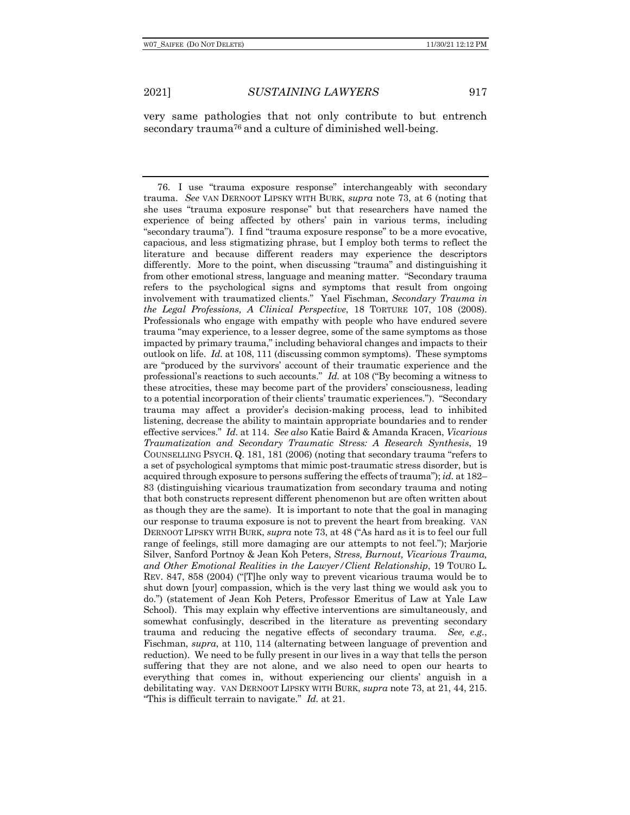very same pathologies that not only contribute to but entrench secondary trauma<sup>76</sup> and a culture of diminished well-being.

76. I use "trauma exposure response" interchangeably with secondary trauma. *See* VAN DERNOOT LIPSKY WITH BURK, *supra* note 73, at 6 (noting that she uses "trauma exposure response" but that researchers have named the experience of being affected by others' pain in various terms, including "secondary trauma"). I find "trauma exposure response" to be a more evocative, capacious, and less stigmatizing phrase, but I employ both terms to reflect the literature and because different readers may experience the descriptors differently. More to the point, when discussing "trauma" and distinguishing it from other emotional stress, language and meaning matter. "Secondary trauma refers to the psychological signs and symptoms that result from ongoing involvement with traumatized clients." Yael Fischman, *Secondary Trauma in the Legal Professions, A Clinical Perspective*, 18 TORTURE 107, 108 (2008). Professionals who engage with empathy with people who have endured severe trauma "may experience, to a lesser degree, some of the same symptoms as those impacted by primary trauma," including behavioral changes and impacts to their outlook on life. *Id.* at 108, 111 (discussing common symptoms). These symptoms are "produced by the survivors' account of their traumatic experience and the professional's reactions to such accounts." *Id.* at 108 ("By becoming a witness to these atrocities, these may become part of the providers' consciousness, leading to a potential incorporation of their clients' traumatic experiences."). "Secondary trauma may affect a provider's decision-making process, lead to inhibited listening, decrease the ability to maintain appropriate boundaries and to render effective services." *Id.* at 114. *See also* Katie Baird & Amanda Kracen, *Vicarious Traumatization and Secondary Traumatic Stress: A Research Synthesis*, 19 COUNSELLING PSYCH. Q. 181, 181 (2006) (noting that secondary trauma "refers to a set of psychological symptoms that mimic post-traumatic stress disorder, but is acquired through exposure to persons suffering the effects of trauma"); *id.* at 182– 83 (distinguishing vicarious traumatization from secondary trauma and noting that both constructs represent different phenomenon but are often written about as though they are the same). It is important to note that the goal in managing our response to trauma exposure is not to prevent the heart from breaking. VAN DERNOOT LIPSKY WITH BURK, *supra* note 73, at 48 ("As hard as it is to feel our full range of feelings, still more damaging are our attempts to not feel."); Marjorie Silver, Sanford Portnoy & Jean Koh Peters, *Stress, Burnout, Vicarious Trauma, and Other Emotional Realities in the Lawyer/Client Relationship*, 19 TOURO L. REV. 847, 858 (2004) ("[T]he only way to prevent vicarious trauma would be to shut down [your] compassion, which is the very last thing we would ask you to do.") (statement of Jean Koh Peters, Professor Emeritus of Law at Yale Law School). This may explain why effective interventions are simultaneously, and somewhat confusingly, described in the literature as preventing secondary trauma and reducing the negative effects of secondary trauma. *See, e.g.*, Fischman, *supra*, at 110, 114 (alternating between language of prevention and reduction). We need to be fully present in our lives in a way that tells the person suffering that they are not alone, and we also need to open our hearts to everything that comes in, without experiencing our clients' anguish in a debilitating way. VAN DERNOOT LIPSKY WITH BURK, *supra* note 73, at 21, 44, 215. "This is difficult terrain to navigate." *Id.* at 21.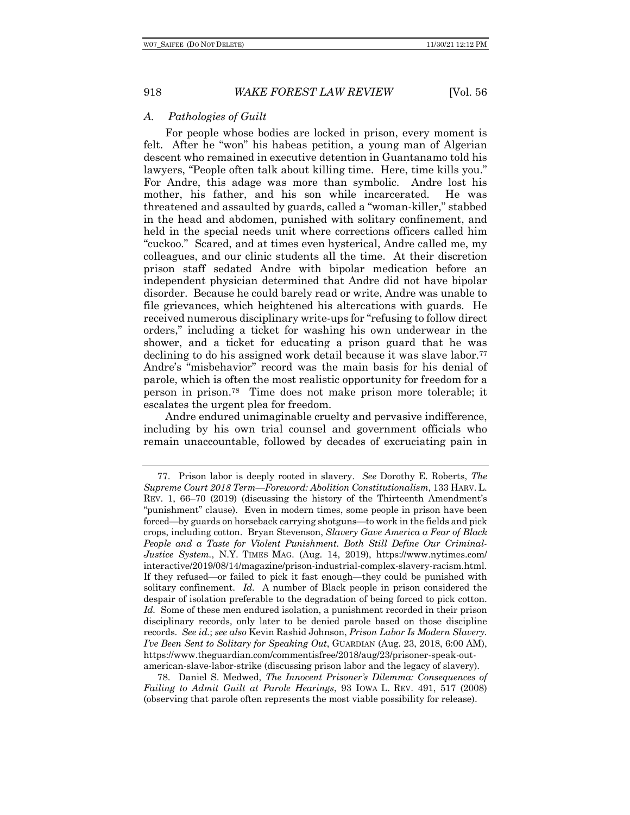## *A. Pathologies of Guilt*

For people whose bodies are locked in prison, every moment is felt. After he "won" his habeas petition, a young man of Algerian descent who remained in executive detention in Guantanamo told his lawyers, "People often talk about killing time. Here, time kills you." For Andre, this adage was more than symbolic. Andre lost his mother, his father, and his son while incarcerated. He was threatened and assaulted by guards, called a "woman-killer," stabbed in the head and abdomen, punished with solitary confinement, and held in the special needs unit where corrections officers called him "cuckoo." Scared, and at times even hysterical, Andre called me, my colleagues, and our clinic students all the time. At their discretion prison staff sedated Andre with bipolar medication before an independent physician determined that Andre did not have bipolar disorder. Because he could barely read or write, Andre was unable to file grievances, which heightened his altercations with guards. He received numerous disciplinary write-ups for "refusing to follow direct orders," including a ticket for washing his own underwear in the shower, and a ticket for educating a prison guard that he was declining to do his assigned work detail because it was slave labor.77 Andre's "misbehavior" record was the main basis for his denial of parole, which is often the most realistic opportunity for freedom for a person in prison.78 Time does not make prison more tolerable; it escalates the urgent plea for freedom.

Andre endured unimaginable cruelty and pervasive indifference, including by his own trial counsel and government officials who remain unaccountable, followed by decades of excruciating pain in

<sup>77.</sup> Prison labor is deeply rooted in slavery. *See* Dorothy E. Roberts, *The Supreme Court 2018 Term—Foreword: Abolition Constitutionalism*, 133 HARV. L. REV. 1, 66–70 (2019) (discussing the history of the Thirteenth Amendment's "punishment" clause). Even in modern times, some people in prison have been forced—by guards on horseback carrying shotguns—to work in the fields and pick crops, including cotton. Bryan Stevenson, *Slavery Gave America a Fear of Black People and a Taste for Violent Punishment. Both Still Define Our Criminal-Justice System.*, N.Y. TIMES MAG. (Aug. 14, 2019), https://www.nytimes.com/ interactive/2019/08/14/magazine/prison-industrial-complex-slavery-racism.html. If they refused—or failed to pick it fast enough—they could be punished with solitary confinement. *Id.* A number of Black people in prison considered the despair of isolation preferable to the degradation of being forced to pick cotton. *Id.* Some of these men endured isolation, a punishment recorded in their prison disciplinary records, only later to be denied parole based on those discipline records. *See id.*; *see also* Kevin Rashid Johnson, *Prison Labor Is Modern Slavery. I've Been Sent to Solitary for Speaking Out*, GUARDIAN (Aug. 23, 2018, 6:00 AM), https://www.theguardian.com/commentisfree/2018/aug/23/prisoner-speak-outamerican-slave-labor-strike (discussing prison labor and the legacy of slavery).

<sup>78.</sup> Daniel S. Medwed, *The Innocent Prisoner's Dilemma: Consequences of Failing to Admit Guilt at Parole Hearings*, 93 IOWA L. REV. 491, 517 (2008) (observing that parole often represents the most viable possibility for release).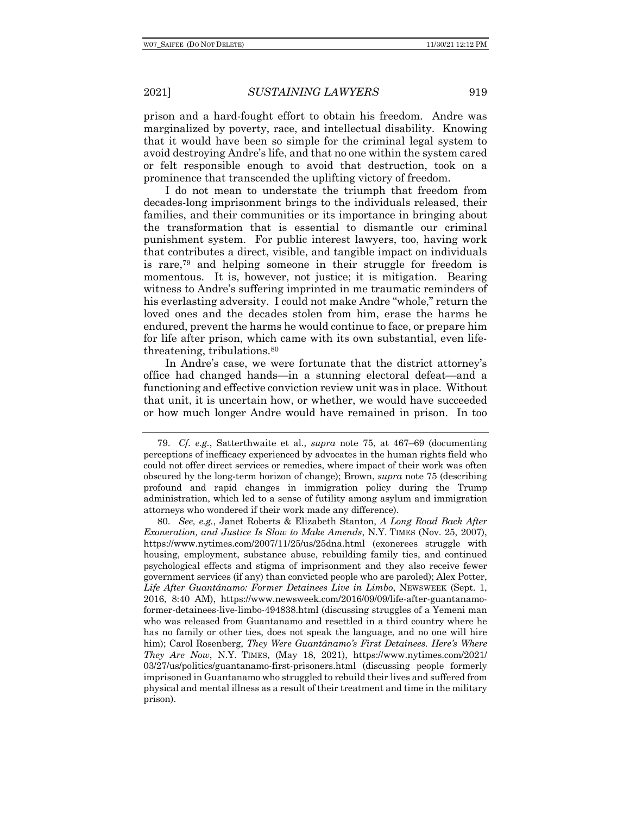prison and a hard-fought effort to obtain his freedom. Andre was marginalized by poverty, race, and intellectual disability. Knowing that it would have been so simple for the criminal legal system to avoid destroying Andre's life, and that no one within the system cared or felt responsible enough to avoid that destruction, took on a prominence that transcended the uplifting victory of freedom.

I do not mean to understate the triumph that freedom from decades-long imprisonment brings to the individuals released, their families, and their communities or its importance in bringing about the transformation that is essential to dismantle our criminal punishment system. For public interest lawyers, too, having work that contributes a direct, visible, and tangible impact on individuals is rare,79 and helping someone in their struggle for freedom is momentous. It is, however, not justice; it is mitigation. Bearing witness to Andre's suffering imprinted in me traumatic reminders of his everlasting adversity. I could not make Andre "whole," return the loved ones and the decades stolen from him, erase the harms he endured, prevent the harms he would continue to face, or prepare him for life after prison, which came with its own substantial, even lifethreatening, tribulations.80

In Andre's case, we were fortunate that the district attorney's office had changed hands—in a stunning electoral defeat—and a functioning and effective conviction review unit was in place. Without that unit, it is uncertain how, or whether, we would have succeeded or how much longer Andre would have remained in prison. In too

<sup>79.</sup> *Cf. e.g.*, Satterthwaite et al., *supra* note 75, at 467–69 (documenting perceptions of inefficacy experienced by advocates in the human rights field who could not offer direct services or remedies, where impact of their work was often obscured by the long-term horizon of change); Brown, *supra* note 75 (describing profound and rapid changes in immigration policy during the Trump administration, which led to a sense of futility among asylum and immigration attorneys who wondered if their work made any difference).

<sup>80.</sup> *See, e.g.*, Janet Roberts & Elizabeth Stanton, *A Long Road Back After Exoneration, and Justice Is Slow to Make Amends*, N.Y. TIMES (Nov. 25, 2007), https://www.nytimes.com/2007/11/25/us/25dna.html (exonerees struggle with housing, employment, substance abuse, rebuilding family ties, and continued psychological effects and stigma of imprisonment and they also receive fewer government services (if any) than convicted people who are paroled); Alex Potter, *Life After Guantánamo: Former Detainees Live in Limbo*, NEWSWEEK (Sept. 1, 2016, 8:40 AM), https://www.newsweek.com/2016/09/09/life-after-guantanamoformer-detainees-live-limbo-494838.html (discussing struggles of a Yemeni man who was released from Guantanamo and resettled in a third country where he has no family or other ties, does not speak the language, and no one will hire him); Carol Rosenberg, *They Were Guantánamo's First Detainees. Here's Where They Are Now*, N.Y. TIMES, (May 18, 2021), https://www.nytimes.com/2021/ 03/27/us/politics/guantanamo-first-prisoners.html (discussing people formerly imprisoned in Guantanamo who struggled to rebuild their lives and suffered from physical and mental illness as a result of their treatment and time in the military prison).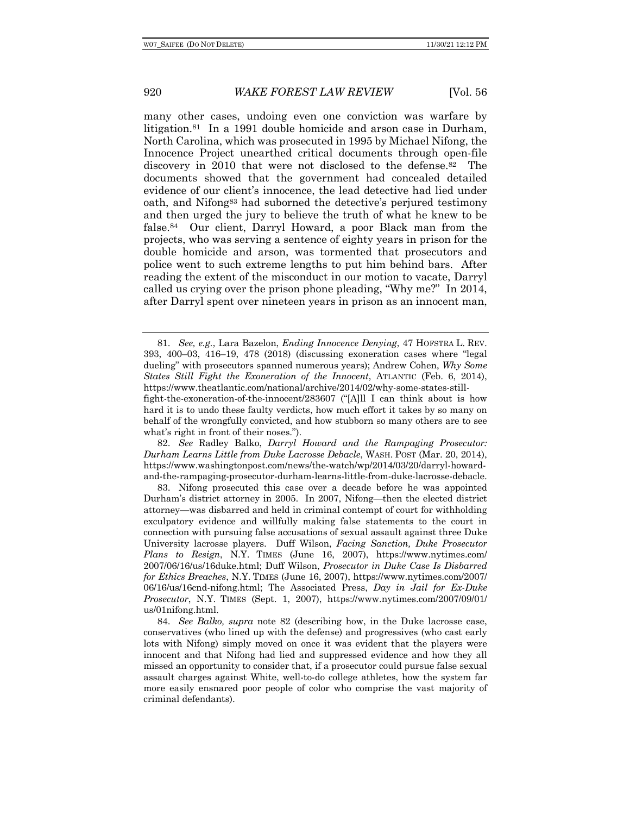many other cases, undoing even one conviction was warfare by litigation.81 In a 1991 double homicide and arson case in Durham, North Carolina, which was prosecuted in 1995 by Michael Nifong, the Innocence Project unearthed critical documents through open-file discovery in 2010 that were not disclosed to the defense.82 The documents showed that the government had concealed detailed evidence of our client's innocence, the lead detective had lied under oath, and Nifong83 had suborned the detective's perjured testimony and then urged the jury to believe the truth of what he knew to be false.84 Our client, Darryl Howard, a poor Black man from the projects, who was serving a sentence of eighty years in prison for the double homicide and arson, was tormented that prosecutors and police went to such extreme lengths to put him behind bars. After reading the extent of the misconduct in our motion to vacate, Darryl called us crying over the prison phone pleading, "Why me?" In 2014, after Darryl spent over nineteen years in prison as an innocent man,

82. *See* Radley Balko, *Darryl Howard and the Rampaging Prosecutor: Durham Learns Little from Duke Lacrosse Debacle*, WASH. POST (Mar. 20, 2014), https://www.washingtonpost.com/news/the-watch/wp/2014/03/20/darryl-howardand-the-rampaging-prosecutor-durham-learns-little-from-duke-lacrosse-debacle.

83. Nifong prosecuted this case over a decade before he was appointed Durham's district attorney in 2005. In 2007, Nifong—then the elected district attorney—was disbarred and held in criminal contempt of court for withholding exculpatory evidence and willfully making false statements to the court in connection with pursuing false accusations of sexual assault against three Duke University lacrosse players. Duff Wilson, *Facing Sanction, Duke Prosecutor Plans to Resign*, N.Y. TIMES (June 16, 2007), https://www.nytimes.com/ 2007/06/16/us/16duke.html; Duff Wilson, *Prosecutor in Duke Case Is Disbarred for Ethics Breaches*, N.Y. TIMES (June 16, 2007), https://www.nytimes.com/2007/ 06/16/us/16cnd-nifong.html; The Associated Press, *Day in Jail for Ex-Duke Prosecutor*, N.Y. TIMES (Sept. 1, 2007), https://www.nytimes.com/2007/09/01/ us/01nifong.html.

84. *See Balko, supra* note 82 (describing how, in the Duke lacrosse case, conservatives (who lined up with the defense) and progressives (who cast early lots with Nifong) simply moved on once it was evident that the players were innocent and that Nifong had lied and suppressed evidence and how they all missed an opportunity to consider that, if a prosecutor could pursue false sexual assault charges against White, well-to-do college athletes, how the system far more easily ensnared poor people of color who comprise the vast majority of criminal defendants).

<sup>81.</sup> *See, e.g.*, Lara Bazelon, *Ending Innocence Denying*, 47 HOFSTRA L. REV. 393, 400–03, 416–19, 478 (2018) (discussing exoneration cases where "legal dueling" with prosecutors spanned numerous years); Andrew Cohen, *Why Some States Still Fight the Exoneration of the Innocent*, ATLANTIC (Feb. 6, 2014), https://www.theatlantic.com/national/archive/2014/02/why-some-states-stillfight-the-exoneration-of-the-innocent/283607 ("[A]ll I can think about is how

hard it is to undo these faulty verdicts, how much effort it takes by so many on behalf of the wrongfully convicted, and how stubborn so many others are to see what's right in front of their noses.").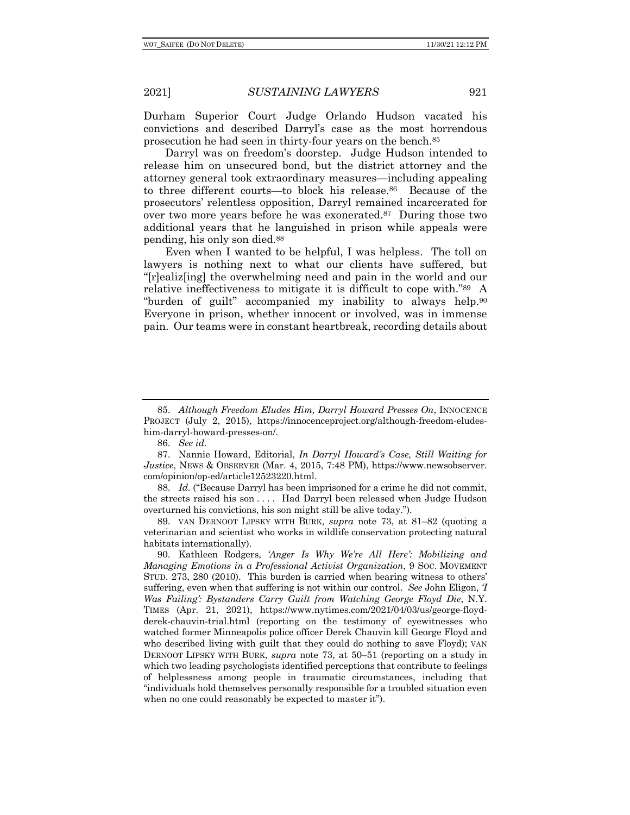Durham Superior Court Judge Orlando Hudson vacated his convictions and described Darryl's case as the most horrendous prosecution he had seen in thirty-four years on the bench.85

Darryl was on freedom's doorstep. Judge Hudson intended to release him on unsecured bond, but the district attorney and the attorney general took extraordinary measures—including appealing to three different courts—to block his release.86 Because of the prosecutors' relentless opposition, Darryl remained incarcerated for over two more years before he was exonerated.87 During those two additional years that he languished in prison while appeals were pending, his only son died.88

Even when I wanted to be helpful, I was helpless. The toll on lawyers is nothing next to what our clients have suffered, but "[r]ealiz[ing] the overwhelming need and pain in the world and our relative ineffectiveness to mitigate it is difficult to cope with."89 A "burden of guilt" accompanied my inability to always help.90 Everyone in prison, whether innocent or involved, was in immense pain. Our teams were in constant heartbreak, recording details about

88. *Id.* ("Because Darryl has been imprisoned for a crime he did not commit, the streets raised his son . . . . Had Darryl been released when Judge Hudson overturned his convictions, his son might still be alive today.").

89. VAN DERNOOT LIPSKY WITH BURK, *supra* note 73, at 81–82 (quoting a veterinarian and scientist who works in wildlife conservation protecting natural habitats internationally).

90. Kathleen Rodgers, *'Anger Is Why We're All Here': Mobilizing and Managing Emotions in a Professional Activist Organization*, 9 SOC. MOVEMENT STUD. 273, 280 (2010). This burden is carried when bearing witness to others' suffering, even when that suffering is not within our control. *See* John Eligon, *'I Was Failing': Bystanders Carry Guilt from Watching George Floyd Die*, N.Y. TIMES (Apr. 21, 2021), https://www.nytimes.com/2021/04/03/us/george-floydderek-chauvin-trial.html (reporting on the testimony of eyewitnesses who watched former Minneapolis police officer Derek Chauvin kill George Floyd and who described living with guilt that they could do nothing to save Floyd); VAN DERNOOT LIPSKY WITH BURK, *supra* note 73, at 50–51 (reporting on a study in which two leading psychologists identified perceptions that contribute to feelings of helplessness among people in traumatic circumstances, including that "individuals hold themselves personally responsible for a troubled situation even when no one could reasonably be expected to master it").

<sup>85.</sup> *Although Freedom Eludes Him, Darryl Howard Presses On*, INNOCENCE PROJECT (July 2, 2015), https://innocenceproject.org/although-freedom-eludeshim-darryl-howard-presses-on/.

<sup>86.</sup> *See id.*

<sup>87.</sup> Nannie Howard, Editorial, *In Darryl Howard's Case, Still Waiting for Justice*, NEWS & OBSERVER (Mar. 4, 2015, 7:48 PM), https://www.newsobserver. com/opinion/op-ed/article12523220.html.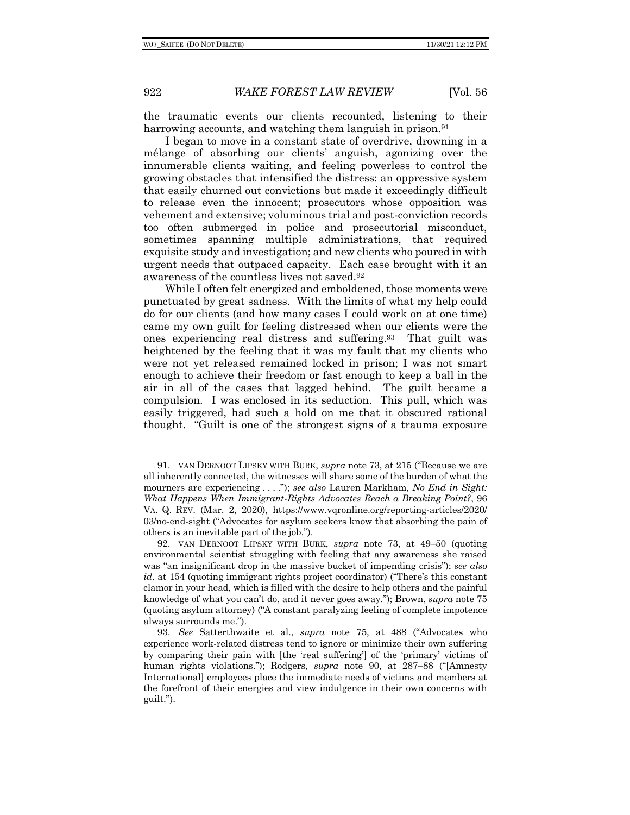the traumatic events our clients recounted, listening to their harrowing accounts, and watching them languish in prison.<sup>91</sup>

I began to move in a constant state of overdrive, drowning in a mélange of absorbing our clients' anguish, agonizing over the innumerable clients waiting, and feeling powerless to control the growing obstacles that intensified the distress: an oppressive system that easily churned out convictions but made it exceedingly difficult to release even the innocent; prosecutors whose opposition was vehement and extensive; voluminous trial and post-conviction records too often submerged in police and prosecutorial misconduct, sometimes spanning multiple administrations, that required exquisite study and investigation; and new clients who poured in with urgent needs that outpaced capacity. Each case brought with it an awareness of the countless lives not saved.92

While I often felt energized and emboldened, those moments were punctuated by great sadness. With the limits of what my help could do for our clients (and how many cases I could work on at one time) came my own guilt for feeling distressed when our clients were the ones experiencing real distress and suffering.93 That guilt was heightened by the feeling that it was my fault that my clients who were not yet released remained locked in prison; I was not smart enough to achieve their freedom or fast enough to keep a ball in the air in all of the cases that lagged behind. The guilt became a compulsion. I was enclosed in its seduction. This pull, which was easily triggered, had such a hold on me that it obscured rational thought. "Guilt is one of the strongest signs of a trauma exposure

<sup>91.</sup> VAN DERNOOT LIPSKY WITH BURK, *supra* note 73, at 215 ("Because we are all inherently connected, the witnesses will share some of the burden of what the mourners are experiencing . . . ."); *see also* Lauren Markham, *No End in Sight: What Happens When Immigrant-Rights Advocates Reach a Breaking Point?*, 96 VA. Q. REV. (Mar. 2, 2020), https://www.vqronline.org/reporting-articles/2020/ 03/no-end-sight ("Advocates for asylum seekers know that absorbing the pain of others is an inevitable part of the job.").

<sup>92.</sup> VAN DERNOOT LIPSKY WITH BURK, *supra* note 73, at 49–50 (quoting environmental scientist struggling with feeling that any awareness she raised was "an insignificant drop in the massive bucket of impending crisis"); *see also id.* at 154 (quoting immigrant rights project coordinator) ("There's this constant clamor in your head, which is filled with the desire to help others and the painful knowledge of what you can't do, and it never goes away."); Brown, *supra* note 75 (quoting asylum attorney) ("A constant paralyzing feeling of complete impotence always surrounds me.").

<sup>93.</sup> *See* Satterthwaite et al., *supra* note 75, at 488 ("Advocates who experience work-related distress tend to ignore or minimize their own suffering by comparing their pain with [the 'real suffering'] of the 'primary' victims of human rights violations."); Rodgers, *supra* note 90, at 287–88 ("[Amnesty International] employees place the immediate needs of victims and members at the forefront of their energies and view indulgence in their own concerns with guilt.").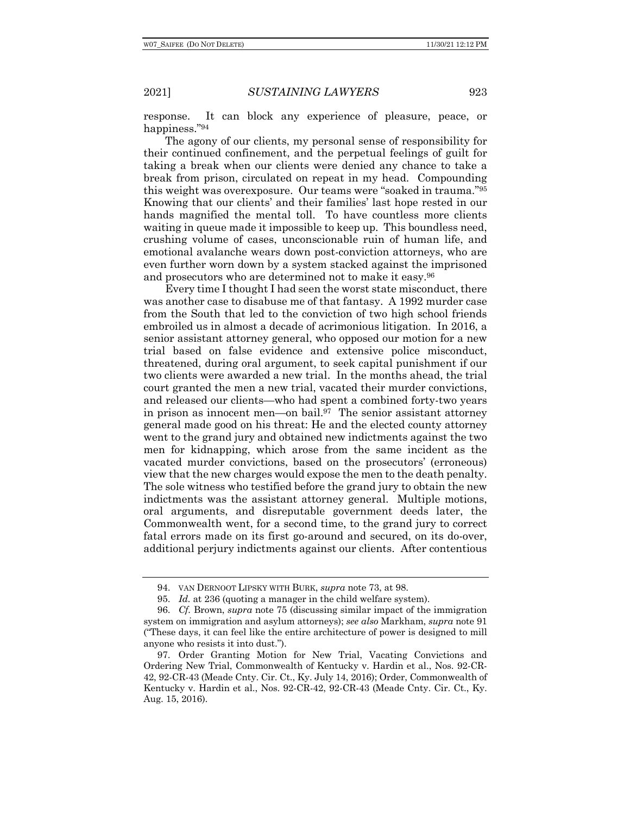response. It can block any experience of pleasure, peace, or happiness."94

The agony of our clients, my personal sense of responsibility for their continued confinement, and the perpetual feelings of guilt for taking a break when our clients were denied any chance to take a break from prison, circulated on repeat in my head. Compounding this weight was overexposure. Our teams were "soaked in trauma."95 Knowing that our clients' and their families' last hope rested in our hands magnified the mental toll. To have countless more clients waiting in queue made it impossible to keep up. This boundless need, crushing volume of cases, unconscionable ruin of human life, and emotional avalanche wears down post-conviction attorneys, who are even further worn down by a system stacked against the imprisoned and prosecutors who are determined not to make it easy.96

Every time I thought I had seen the worst state misconduct, there was another case to disabuse me of that fantasy. A 1992 murder case from the South that led to the conviction of two high school friends embroiled us in almost a decade of acrimonious litigation. In 2016, a senior assistant attorney general, who opposed our motion for a new trial based on false evidence and extensive police misconduct, threatened, during oral argument, to seek capital punishment if our two clients were awarded a new trial. In the months ahead, the trial court granted the men a new trial, vacated their murder convictions, and released our clients—who had spent a combined forty-two years in prison as innocent men—on bail.97 The senior assistant attorney general made good on his threat: He and the elected county attorney went to the grand jury and obtained new indictments against the two men for kidnapping, which arose from the same incident as the vacated murder convictions, based on the prosecutors' (erroneous) view that the new charges would expose the men to the death penalty. The sole witness who testified before the grand jury to obtain the new indictments was the assistant attorney general. Multiple motions, oral arguments, and disreputable government deeds later, the Commonwealth went, for a second time, to the grand jury to correct fatal errors made on its first go-around and secured, on its do-over, additional perjury indictments against our clients. After contentious

<sup>94.</sup> VAN DERNOOT LIPSKY WITH BURK, *supra* note 73, at 98.

<sup>95.</sup> *Id.* at 236 (quoting a manager in the child welfare system).

<sup>96.</sup> *Cf.* Brown, *supra* note 75 (discussing similar impact of the immigration system on immigration and asylum attorneys); *see also* Markham, *supra* note 91 ("These days, it can feel like the entire architecture of power is designed to mill anyone who resists it into dust.").

<sup>97.</sup> Order Granting Motion for New Trial, Vacating Convictions and Ordering New Trial, Commonwealth of Kentucky v. Hardin et al., Nos. 92-CR-42, 92-CR-43 (Meade Cnty. Cir. Ct., Ky. July 14, 2016); Order, Commonwealth of Kentucky v. Hardin et al., Nos. 92-CR-42, 92-CR-43 (Meade Cnty. Cir. Ct., Ky. Aug. 15, 2016).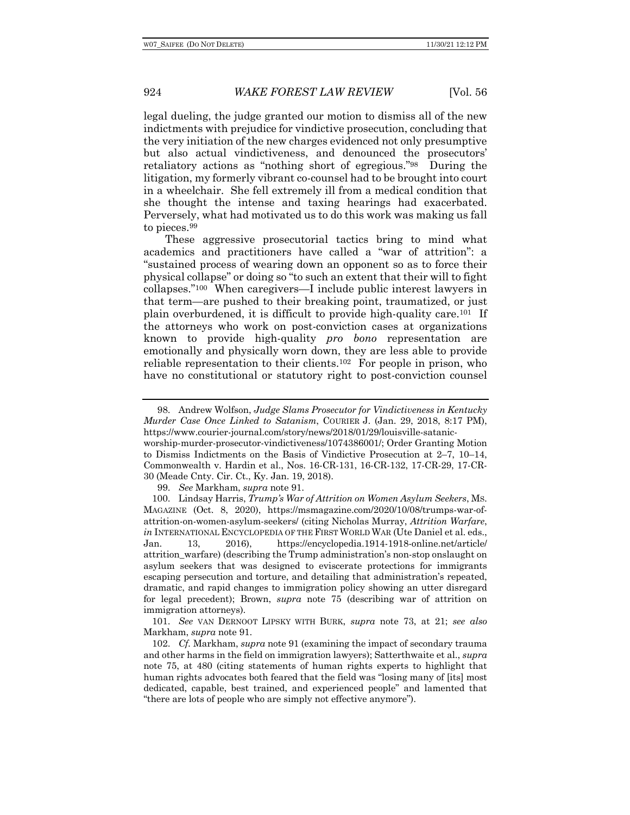legal dueling, the judge granted our motion to dismiss all of the new indictments with prejudice for vindictive prosecution, concluding that the very initiation of the new charges evidenced not only presumptive but also actual vindictiveness, and denounced the prosecutors' retaliatory actions as "nothing short of egregious."98 During the litigation, my formerly vibrant co-counsel had to be brought into court in a wheelchair. She fell extremely ill from a medical condition that she thought the intense and taxing hearings had exacerbated. Perversely, what had motivated us to do this work was making us fall to pieces.99

These aggressive prosecutorial tactics bring to mind what academics and practitioners have called a "war of attrition": a "sustained process of wearing down an opponent so as to force their physical collapse" or doing so "to such an extent that their will to fight collapses."100 When caregivers—I include public interest lawyers in that term—are pushed to their breaking point, traumatized, or just plain overburdened, it is difficult to provide high-quality care.101 If the attorneys who work on post-conviction cases at organizations known to provide high-quality *pro bono* representation are emotionally and physically worn down, they are less able to provide reliable representation to their clients.102 For people in prison, who have no constitutional or statutory right to post-conviction counsel

<sup>98.</sup> Andrew Wolfson, *Judge Slams Prosecutor for Vindictiveness in Kentucky Murder Case Once Linked to Satanism*, COURIER J. (Jan. 29, 2018, 8:17 PM), https://www.courier-journal.com/story/news/2018/01/29/louisville-satanicworship-murder-prosecutor-vindictiveness/1074386001/; Order Granting Motion to Dismiss Indictments on the Basis of Vindictive Prosecution at 2–7, 10–14, Commonwealth v. Hardin et al., Nos. 16-CR-131, 16-CR-132, 17-CR-29, 17-CR-30 (Meade Cnty. Cir. Ct., Ky. Jan. 19, 2018).

<sup>99.</sup> *See* Markham, *supra* note 91.

<sup>100.</sup> Lindsay Harris, *Trump's War of Attrition on Women Asylum Seekers*, MS. MAGAZINE (Oct. 8, 2020), https://msmagazine.com/2020/10/08/trumps-war-ofattrition-on-women-asylum-seekers/ (citing Nicholas Murray, *Attrition Warfare*, *in* INTERNATIONAL ENCYCLOPEDIA OF THE FIRST WORLD WAR (Ute Daniel et al. eds., Jan. 13, 2016), https://encyclopedia.1914-1918-online.net/article/ attrition\_warfare) (describing the Trump administration's non-stop onslaught on asylum seekers that was designed to eviscerate protections for immigrants escaping persecution and torture, and detailing that administration's repeated, dramatic, and rapid changes to immigration policy showing an utter disregard for legal precedent); Brown, *supra* note 75 (describing war of attrition on immigration attorneys).

<sup>101.</sup> *See* VAN DERNOOT LIPSKY WITH BURK, *supra* note 73, at 21; *see also* Markham, *supra* note 91.

<sup>102.</sup> *Cf.* Markham, *supra* note 91 (examining the impact of secondary trauma and other harms in the field on immigration lawyers); Satterthwaite et al., *supra* note 75, at 480 (citing statements of human rights experts to highlight that human rights advocates both feared that the field was "losing many of [its] most dedicated, capable, best trained, and experienced people" and lamented that "there are lots of people who are simply not effective anymore").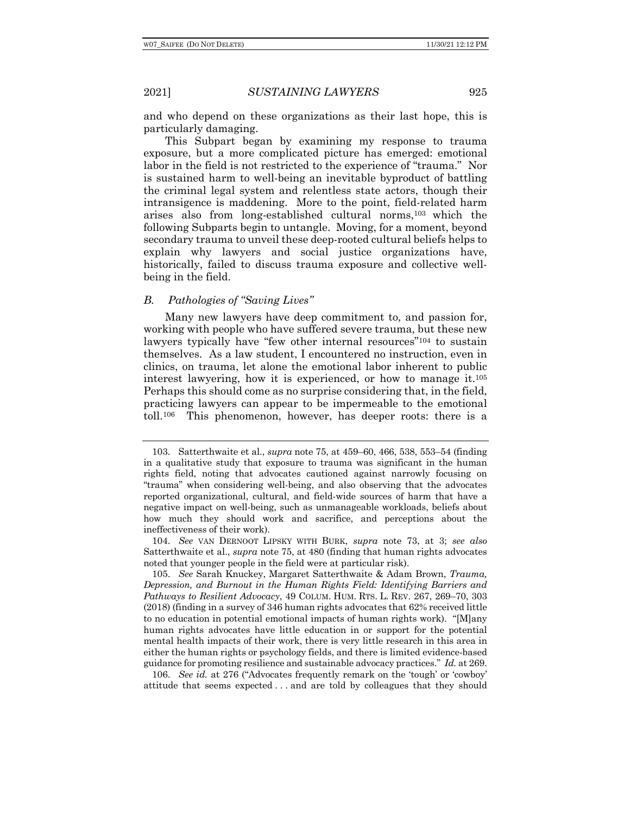and who depend on these organizations as their last hope, this is particularly damaging.

This Subpart began by examining my response to trauma exposure, but a more complicated picture has emerged: emotional labor in the field is not restricted to the experience of "trauma." Nor is sustained harm to well-being an inevitable byproduct of battling the criminal legal system and relentless state actors, though their intransigence is maddening. More to the point, field-related harm arises also from long-established cultural norms,103 which the following Subparts begin to untangle. Moving, for a moment, beyond secondary trauma to unveil these deep-rooted cultural beliefs helps to explain why lawyers and social justice organizations have, historically, failed to discuss trauma exposure and collective wellbeing in the field.

# *B. Pathologies of "Saving Lives"*

Many new lawyers have deep commitment to, and passion for, working with people who have suffered severe trauma, but these new lawyers typically have "few other internal resources"104 to sustain themselves. As a law student, I encountered no instruction, even in clinics, on trauma, let alone the emotional labor inherent to public interest lawyering, how it is experienced, or how to manage it.105 Perhaps this should come as no surprise considering that, in the field, practicing lawyers can appear to be impermeable to the emotional toll.106 This phenomenon, however, has deeper roots: there is a

106. *See id.* at 276 ("Advocates frequently remark on the 'tough' or 'cowboy' attitude that seems expected . . . and are told by colleagues that they should

<sup>103.</sup> Satterthwaite et al., *supra* note 75, at 459–60, 466, 538, 553–54 (finding in a qualitative study that exposure to trauma was significant in the human rights field, noting that advocates cautioned against narrowly focusing on "trauma" when considering well-being, and also observing that the advocates reported organizational, cultural, and field-wide sources of harm that have a negative impact on well-being, such as unmanageable workloads, beliefs about how much they should work and sacrifice, and perceptions about the ineffectiveness of their work).

<sup>104.</sup> *See* VAN DERNOOT LIPSKY WITH BURK, *supra* note 73, at 3; *see also* Satterthwaite et al., *supra* note 75, at 480 (finding that human rights advocates noted that younger people in the field were at particular risk).

<sup>105.</sup> *See* Sarah Knuckey, Margaret Satterthwaite & Adam Brown, *Trauma, Depression, and Burnout in the Human Rights Field: Identifying Barriers and Pathways to Resilient Advocacy*, 49 COLUM. HUM. RTS. L. REV. 267, 269–70, 303 (2018) (finding in a survey of 346 human rights advocates that 62% received little to no education in potential emotional impacts of human rights work). "[M]any human rights advocates have little education in or support for the potential mental health impacts of their work, there is very little research in this area in either the human rights or psychology fields, and there is limited evidence-based guidance for promoting resilience and sustainable advocacy practices." *Id.* at 269.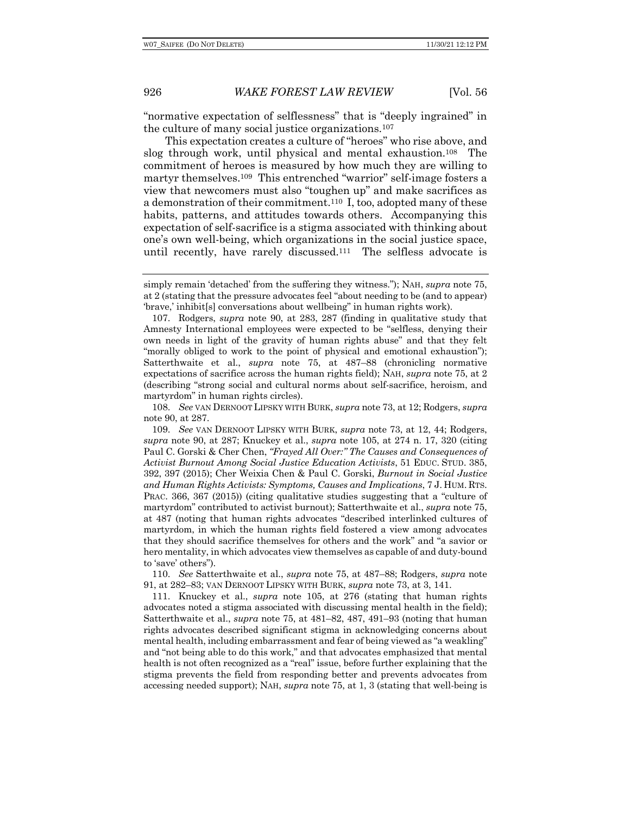"normative expectation of selflessness" that is "deeply ingrained" in the culture of many social justice organizations.107

This expectation creates a culture of "heroes" who rise above, and slog through work, until physical and mental exhaustion.108 The commitment of heroes is measured by how much they are willing to martyr themselves.109 This entrenched "warrior" self-image fosters a view that newcomers must also "toughen up" and make sacrifices as a demonstration of their commitment.110 I, too, adopted many of these habits, patterns, and attitudes towards others. Accompanying this expectation of self-sacrifice is a stigma associated with thinking about one's own well-being, which organizations in the social justice space, until recently, have rarely discussed.111 The selfless advocate is

110. *See* Satterthwaite et al., *supra* note 75, at 487–88; Rodgers, *supra* note 91, at 282–83; VAN DERNOOT LIPSKY WITH BURK, *supra* note 73, at 3, 141.

111. Knuckey et al., *supra* note 105, at 276 (stating that human rights advocates noted a stigma associated with discussing mental health in the field); Satterthwaite et al., *supra* note 75, at 481–82, 487, 491–93 (noting that human rights advocates described significant stigma in acknowledging concerns about mental health, including embarrassment and fear of being viewed as "a weakling" and "not being able to do this work," and that advocates emphasized that mental health is not often recognized as a "real" issue, before further explaining that the stigma prevents the field from responding better and prevents advocates from accessing needed support); NAH, *supra* note 75, at 1, 3 (stating that well-being is

simply remain 'detached' from the suffering they witness."); NAH, *supra* note 75, at 2 (stating that the pressure advocates feel "about needing to be (and to appear) 'brave,' inhibit[s] conversations about wellbeing" in human rights work).

<sup>107.</sup> Rodgers, *supra* note 90, at 283, 287 (finding in qualitative study that Amnesty International employees were expected to be "selfless, denying their own needs in light of the gravity of human rights abuse" and that they felt "morally obliged to work to the point of physical and emotional exhaustion"); Satterthwaite et al., *supra* note 75, at 487–88 (chronicling normative expectations of sacrifice across the human rights field); NAH, *supra* note 75, at 2 (describing "strong social and cultural norms about self-sacrifice, heroism, and martyrdom" in human rights circles).

<sup>108.</sup> *See* VAN DERNOOT LIPSKY WITH BURK, *supra* note 73, at 12; Rodgers, *supra* note 90, at 287.

<sup>109.</sup> *See* VAN DERNOOT LIPSKY WITH BURK, *supra* note 73, at 12, 44; Rodgers, *supra* note 90, at 287; Knuckey et al., *supra* note 105, at 274 n. 17, 320 (citing Paul C. Gorski & Cher Chen, *"Frayed All Over:" The Causes and Consequences of Activist Burnout Among Social Justice Education Activists*, 51 EDUC. STUD. 385, 392, 397 (2015); Cher Weixia Chen & Paul C. Gorski, *Burnout in Social Justice and Human Rights Activists: Symptoms, Causes and Implications*, 7 J. HUM. RTS. PRAC. 366, 367 (2015)) (citing qualitative studies suggesting that a "culture of martyrdom" contributed to activist burnout); Satterthwaite et al., *supra* note 75, at 487 (noting that human rights advocates "described interlinked cultures of martyrdom, in which the human rights field fostered a view among advocates that they should sacrifice themselves for others and the work" and "a savior or hero mentality, in which advocates view themselves as capable of and duty-bound to 'save' others").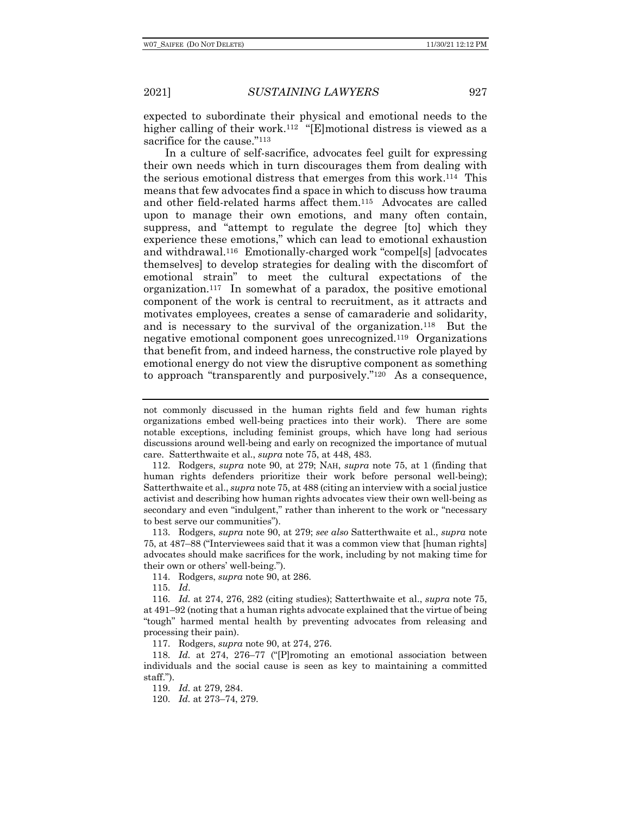expected to subordinate their physical and emotional needs to the higher calling of their work.<sup>112</sup> "[E]motional distress is viewed as a sacrifice for the cause."<sup>113</sup>

In a culture of self-sacrifice, advocates feel guilt for expressing their own needs which in turn discourages them from dealing with the serious emotional distress that emerges from this work.114 This means that few advocates find a space in which to discuss how trauma and other field-related harms affect them.115 Advocates are called upon to manage their own emotions, and many often contain, suppress, and "attempt to regulate the degree [to] which they experience these emotions," which can lead to emotional exhaustion and withdrawal.116 Emotionally-charged work "compel[s] [advocates themselves] to develop strategies for dealing with the discomfort of emotional strain" to meet the cultural expectations of the organization.117 In somewhat of a paradox, the positive emotional component of the work is central to recruitment, as it attracts and motivates employees, creates a sense of camaraderie and solidarity, and is necessary to the survival of the organization.118 But the negative emotional component goes unrecognized.119 Organizations that benefit from, and indeed harness, the constructive role played by emotional energy do not view the disruptive component as something to approach "transparently and purposively."120 As a consequence,

115. *Id*.

116. *Id.* at 274, 276, 282 (citing studies); Satterthwaite et al., *supra* note 75, at 491–92 (noting that a human rights advocate explained that the virtue of being "tough" harmed mental health by preventing advocates from releasing and processing their pain).

117. Rodgers, *supra* note 90, at 274, 276.

118. *Id.* at 274, 276–77 ("[P]romoting an emotional association between individuals and the social cause is seen as key to maintaining a committed staff.").

119. *Id.* at 279, 284.

120. *Id.* at 273–74, 279.

not commonly discussed in the human rights field and few human rights organizations embed well-being practices into their work). There are some notable exceptions, including feminist groups, which have long had serious discussions around well-being and early on recognized the importance of mutual care. Satterthwaite et al., *supra* note 75, at 448, 483.

<sup>112.</sup> Rodgers, *supra* note 90, at 279; NAH, *supra* note 75, at 1 (finding that human rights defenders prioritize their work before personal well-being); Satterthwaite et al., *supra* note 75, at 488 (citing an interview with a social justice activist and describing how human rights advocates view their own well-being as secondary and even "indulgent," rather than inherent to the work or "necessary to best serve our communities").

<sup>113.</sup> Rodgers, *supra* note 90, at 279; *see also* Satterthwaite et al., *supra* note 75, at 487–88 ("Interviewees said that it was a common view that [human rights] advocates should make sacrifices for the work, including by not making time for their own or others' well-being.").

<sup>114.</sup> Rodgers, *supra* note 90, at 286.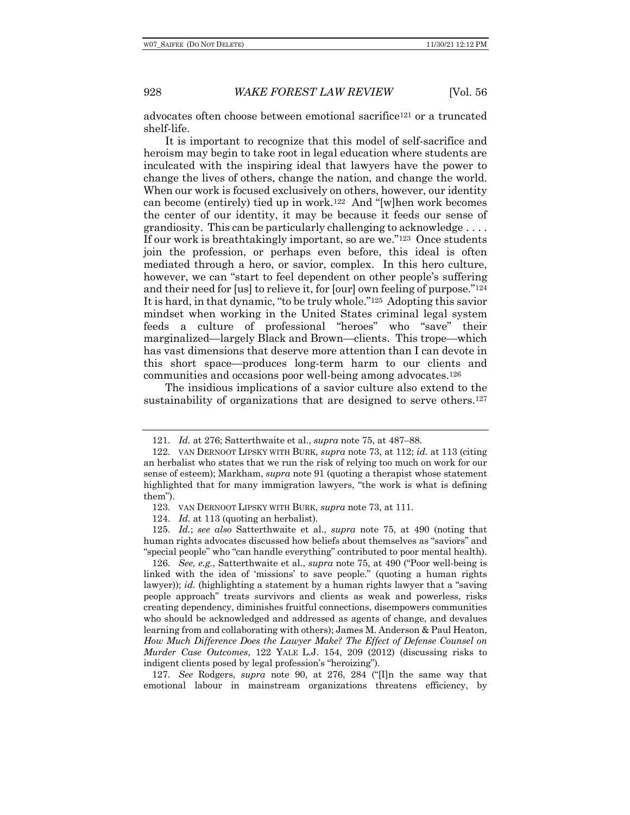advocates often choose between emotional sacrifice121 or a truncated shelf-life.

It is important to recognize that this model of self-sacrifice and heroism may begin to take root in legal education where students are inculcated with the inspiring ideal that lawyers have the power to change the lives of others, change the nation, and change the world. When our work is focused exclusively on others, however, our identity can become (entirely) tied up in work.122 And "[w]hen work becomes the center of our identity, it may be because it feeds our sense of grandiosity. This can be particularly challenging to acknowledge  $\dots$ . If our work is breathtakingly important, so are we."123 Once students join the profession, or perhaps even before, this ideal is often mediated through a hero, or savior, complex. In this hero culture, however, we can "start to feel dependent on other people's suffering and their need for [us] to relieve it, for [our] own feeling of purpose."124 It is hard, in that dynamic, "to be truly whole."125 Adopting this savior mindset when working in the United States criminal legal system feeds a culture of professional "heroes" who "save" their marginalized—largely Black and Brown—clients. This trope—which has vast dimensions that deserve more attention than I can devote in this short space—produces long-term harm to our clients and communities and occasions poor well-being among advocates.126

The insidious implications of a savior culture also extend to the sustainability of organizations that are designed to serve others.127

124. *Id.* at 113 (quoting an herbalist).

127. *See* Rodgers, *supra* note 90, at 276, 284 ("[I]n the same way that emotional labour in mainstream organizations threatens efficiency, by

<sup>121.</sup> *Id.* at 276; Satterthwaite et al., *supra* note 75, at 487–88.

<sup>122.</sup> VAN DERNOOT LIPSKY WITH BURK, *supra* note 73, at 112; *id.* at 113 (citing an herbalist who states that we run the risk of relying too much on work for our sense of esteem); Markham, *supra* note 91 (quoting a therapist whose statement highlighted that for many immigration lawyers, "the work is what is defining them").

<sup>123.</sup> VAN DERNOOT LIPSKY WITH BURK, *supra* note 73, at 111.

<sup>125.</sup> *Id.*; *see also* Satterthwaite et al., *supra* note 75, at 490 (noting that human rights advocates discussed how beliefs about themselves as "saviors" and "special people" who "can handle everything" contributed to poor mental health).

<sup>126.</sup> *See, e.g.*, Satterthwaite et al., *supra* note 75, at 490 ("Poor well-being is linked with the idea of 'missions' to save people." (quoting a human rights lawyer)); *id.* (highlighting a statement by a human rights lawyer that a "saving people approach" treats survivors and clients as weak and powerless, risks creating dependency, diminishes fruitful connections, disempowers communities who should be acknowledged and addressed as agents of change, and devalues learning from and collaborating with others); James M. Anderson & Paul Heaton, *How Much Difference Does the Lawyer Make? The Effect of Defense Counsel on Murder Case Outcomes*, 122 YALE L.J. 154, 209 (2012) (discussing risks to indigent clients posed by legal profession's "heroizing").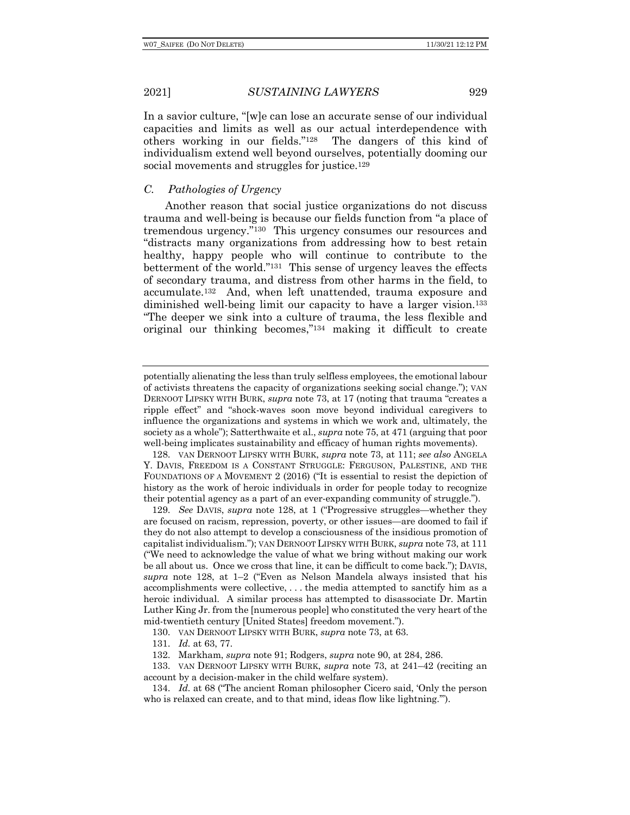In a savior culture, "[w]e can lose an accurate sense of our individual capacities and limits as well as our actual interdependence with others working in our fields."128 The dangers of this kind of individualism extend well beyond ourselves, potentially dooming our social movements and struggles for justice.129

# *C. Pathologies of Urgency*

Another reason that social justice organizations do not discuss trauma and well-being is because our fields function from "a place of tremendous urgency."130 This urgency consumes our resources and "distracts many organizations from addressing how to best retain healthy, happy people who will continue to contribute to the betterment of the world."131 This sense of urgency leaves the effects of secondary trauma, and distress from other harms in the field, to accumulate.132 And, when left unattended, trauma exposure and diminished well-being limit our capacity to have a larger vision.<sup>133</sup> "The deeper we sink into a culture of trauma, the less flexible and original our thinking becomes,"134 making it difficult to create

128. VAN DERNOOT LIPSKY WITH BURK, *supra* note 73, at 111; *see also* ANGELA Y. DAVIS, FREEDOM IS A CONSTANT STRUGGLE: FERGUSON, PALESTINE, AND THE FOUNDATIONS OF A MOVEMENT 2 (2016) ("It is essential to resist the depiction of history as the work of heroic individuals in order for people today to recognize their potential agency as a part of an ever-expanding community of struggle.").

129. *See* DAVIS, *supra* note 128, at 1 ("Progressive struggles—whether they are focused on racism, repression, poverty, or other issues—are doomed to fail if they do not also attempt to develop a consciousness of the insidious promotion of capitalist individualism."); VAN DERNOOT LIPSKY WITH BURK, *supra* note 73, at 111 ("We need to acknowledge the value of what we bring without making our work be all about us. Once we cross that line, it can be difficult to come back."); DAVIS, *supra* note 128, at 1–2 ("Even as Nelson Mandela always insisted that his accomplishments were collective, . . . the media attempted to sanctify him as a heroic individual. A similar process has attempted to disassociate Dr. Martin Luther King Jr. from the [numerous people] who constituted the very heart of the mid-twentieth century [United States] freedom movement.").

130. VAN DERNOOT LIPSKY WITH BURK, *supra* note 73, at 63.

131. *Id.* at 63, 77.

132. Markham, *supra* note 91; Rodgers, *supra* note 90, at 284, 286.

133. VAN DERNOOT LIPSKY WITH BURK, *supra* note 73, at 241–42 (reciting an account by a decision-maker in the child welfare system).

134. *Id.* at 68 ("The ancient Roman philosopher Cicero said, 'Only the person who is relaxed can create, and to that mind, ideas flow like lightning."").

potentially alienating the less than truly selfless employees, the emotional labour of activists threatens the capacity of organizations seeking social change."); VAN DERNOOT LIPSKY WITH BURK, *supra* note 73, at 17 (noting that trauma "creates a ripple effect" and "shock-waves soon move beyond individual caregivers to influence the organizations and systems in which we work and, ultimately, the society as a whole"); Satterthwaite et al., *supra* note 75, at 471 (arguing that poor well-being implicates sustainability and efficacy of human rights movements).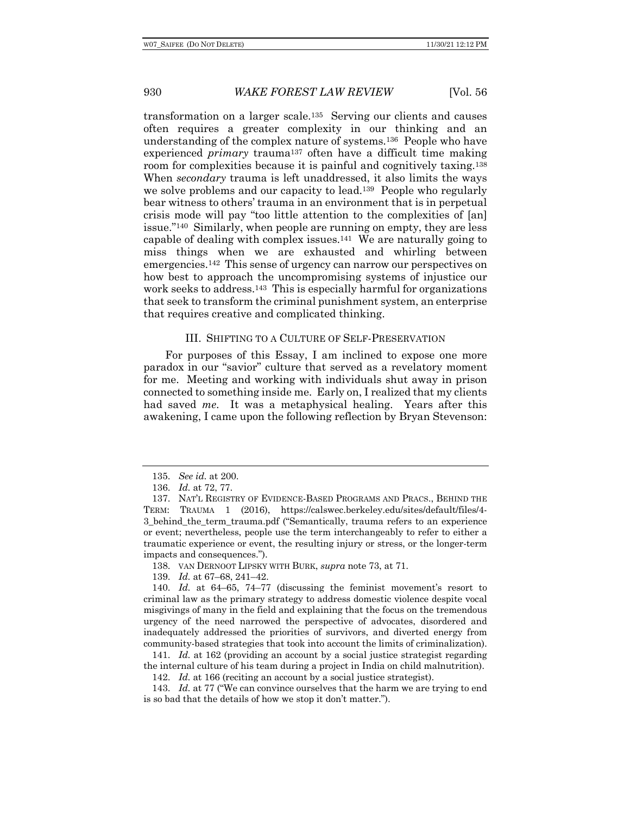transformation on a larger scale.135 Serving our clients and causes often requires a greater complexity in our thinking and an understanding of the complex nature of systems.136 People who have experienced *primary* trauma137 often have a difficult time making room for complexities because it is painful and cognitively taxing.138 When *secondary* trauma is left unaddressed, it also limits the ways we solve problems and our capacity to lead.139 People who regularly bear witness to others' trauma in an environment that is in perpetual crisis mode will pay "too little attention to the complexities of [an] issue."140 Similarly, when people are running on empty, they are less capable of dealing with complex issues.141 We are naturally going to miss things when we are exhausted and whirling between emergencies.142 This sense of urgency can narrow our perspectives on how best to approach the uncompromising systems of injustice our work seeks to address.<sup>143</sup> This is especially harmful for organizations that seek to transform the criminal punishment system, an enterprise that requires creative and complicated thinking.

## III. SHIFTING TO A CULTURE OF SELF-PRESERVATION

For purposes of this Essay, I am inclined to expose one more paradox in our "savior" culture that served as a revelatory moment for me. Meeting and working with individuals shut away in prison connected to something inside me. Early on, I realized that my clients had saved *me*. It was a metaphysical healing. Years after this awakening, I came upon the following reflection by Bryan Stevenson:

141. *Id.* at 162 (providing an account by a social justice strategist regarding the internal culture of his team during a project in India on child malnutrition).

142. *Id.* at 166 (reciting an account by a social justice strategist).

143. *Id.* at 77 ("We can convince ourselves that the harm we are trying to end is so bad that the details of how we stop it don't matter.").

<sup>135.</sup> *See id.* at 200.

<sup>136.</sup> *Id.* at 72, 77.

<sup>137.</sup> NAT'L REGISTRY OF EVIDENCE-BASED PROGRAMS AND PRACS., BEHIND THE TERM: TRAUMA 1 (2016), https://calswec.berkeley.edu/sites/default/files/4- 3 behind the term trauma.pdf ("Semantically, trauma refers to an experience or event; nevertheless, people use the term interchangeably to refer to either a traumatic experience or event, the resulting injury or stress, or the longer-term impacts and consequences.").

<sup>138.</sup> VAN DERNOOT LIPSKY WITH BURK, *supra* note 73, at 71.

<sup>139.</sup> *Id.* at 67–68, 241–42.

<sup>140.</sup> *Id.* at 64–65, 74–77 (discussing the feminist movement's resort to criminal law as the primary strategy to address domestic violence despite vocal misgivings of many in the field and explaining that the focus on the tremendous urgency of the need narrowed the perspective of advocates, disordered and inadequately addressed the priorities of survivors, and diverted energy from community-based strategies that took into account the limits of criminalization).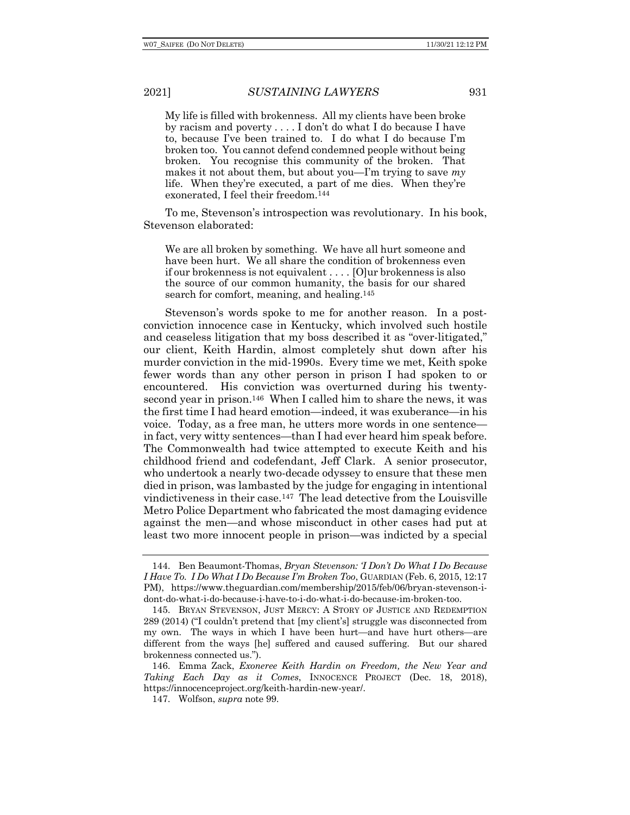My life is filled with brokenness. All my clients have been broke by racism and poverty . . . . I don't do what I do because I have to, because I've been trained to. I do what I do because I'm broken too. You cannot defend condemned people without being broken. You recognise this community of the broken. That makes it not about them, but about you—I'm trying to save *my* life. When they're executed, a part of me dies. When they're exonerated, I feel their freedom.144

To me, Stevenson's introspection was revolutionary. In his book, Stevenson elaborated:

We are all broken by something. We have all hurt someone and have been hurt. We all share the condition of brokenness even if our brokenness is not equivalent . . . . [O]ur brokenness is also the source of our common humanity, the basis for our shared search for comfort, meaning, and healing.<sup>145</sup>

Stevenson's words spoke to me for another reason. In a postconviction innocence case in Kentucky, which involved such hostile and ceaseless litigation that my boss described it as "over-litigated," our client, Keith Hardin, almost completely shut down after his murder conviction in the mid-1990s. Every time we met, Keith spoke fewer words than any other person in prison I had spoken to or encountered. His conviction was overturned during his twentysecond year in prison.146 When I called him to share the news, it was the first time I had heard emotion—indeed, it was exuberance—in his voice. Today, as a free man, he utters more words in one sentence in fact, very witty sentences—than I had ever heard him speak before. The Commonwealth had twice attempted to execute Keith and his childhood friend and codefendant, Jeff Clark. A senior prosecutor, who undertook a nearly two-decade odyssey to ensure that these men died in prison, was lambasted by the judge for engaging in intentional vindictiveness in their case.147 The lead detective from the Louisville Metro Police Department who fabricated the most damaging evidence against the men—and whose misconduct in other cases had put at least two more innocent people in prison—was indicted by a special

<sup>144.</sup> Ben Beaumont-Thomas, *Bryan Stevenson: 'I Don't Do What I Do Because I Have To. I Do What I Do Because I'm Broken Too*, GUARDIAN (Feb. 6, 2015, 12:17 PM), https://www.theguardian.com/membership/2015/feb/06/bryan-stevenson-idont-do-what-i-do-because-i-have-to-i-do-what-i-do-because-im-broken-too.

<sup>145.</sup> BRYAN STEVENSON, JUST MERCY: A STORY OF JUSTICE AND REDEMPTION 289 (2014) ("I couldn't pretend that [my client's] struggle was disconnected from my own. The ways in which I have been hurt—and have hurt others—are different from the ways [he] suffered and caused suffering. But our shared brokenness connected us.").

<sup>146.</sup> Emma Zack, *Exoneree Keith Hardin on Freedom, the New Year and Taking Each Day as it Comes*, INNOCENCE PROJECT (Dec. 18, 2018), https://innocenceproject.org/keith-hardin-new-year/.

<sup>147.</sup> Wolfson, *supra* note 99.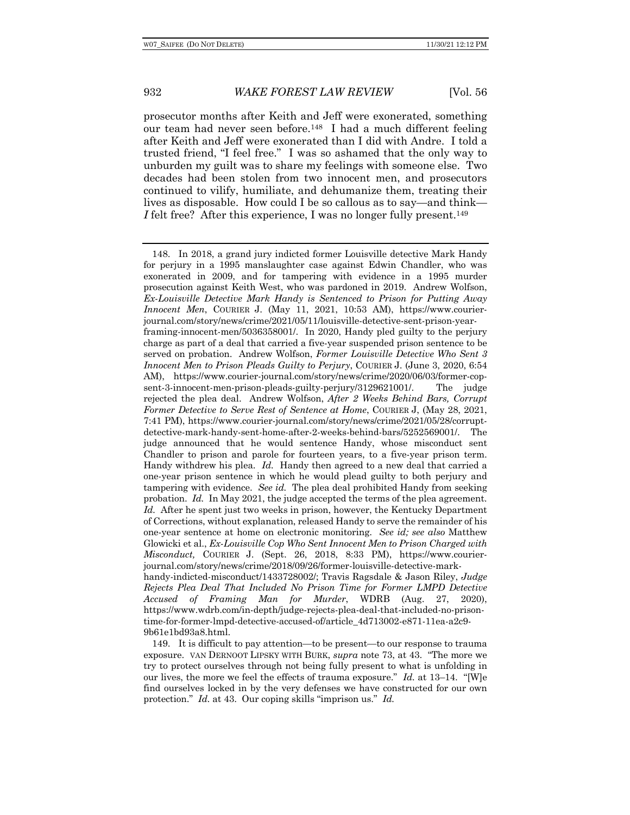prosecutor months after Keith and Jeff were exonerated, something our team had never seen before.148 I had a much different feeling after Keith and Jeff were exonerated than I did with Andre. I told a trusted friend, "I feel free." I was so ashamed that the only way to unburden my guilt was to share my feelings with someone else. Two decades had been stolen from two innocent men, and prosecutors continued to vilify, humiliate, and dehumanize them, treating their lives as disposable. How could I be so callous as to say—and think— *I* felt free? After this experience, I was no longer fully present.<sup>149</sup>

149. It is difficult to pay attention—to be present—to our response to trauma exposure. VAN DERNOOT LIPSKY WITH BURK, *supra* note 73, at 43. "The more we try to protect ourselves through not being fully present to what is unfolding in our lives, the more we feel the effects of trauma exposure." *Id.* at 13–14. "[W]e find ourselves locked in by the very defenses we have constructed for our own protection." *Id.* at 43. Our coping skills "imprison us." *Id.*

<sup>148.</sup> In 2018, a grand jury indicted former Louisville detective Mark Handy for perjury in a 1995 manslaughter case against Edwin Chandler, who was exonerated in 2009, and for tampering with evidence in a 1995 murder prosecution against Keith West, who was pardoned in 2019. Andrew Wolfson, *Ex-Louisville Detective Mark Handy is Sentenced to Prison for Putting Away Innocent Men*, COURIER J. (May 11, 2021, 10:53 AM), https://www.courierjournal.com/story/news/crime/2021/05/11/louisville-detective-sent-prison-yearframing-innocent-men/5036358001/. In 2020, Handy pled guilty to the perjury charge as part of a deal that carried a five-year suspended prison sentence to be served on probation. Andrew Wolfson, *Former Louisville Detective Who Sent 3 Innocent Men to Prison Pleads Guilty to Perjury*, COURIER J. (June 3, 2020, 6:54 AM), https://www.courier-journal.com/story/news/crime/2020/06/03/former-copsent-3-innocent-men-prison-pleads-guilty-perjury/3129621001/. The judge rejected the plea deal. Andrew Wolfson, *After 2 Weeks Behind Bars, Corrupt Former Detective to Serve Rest of Sentence at Home*, COURIER J, (May 28, 2021, 7:41 PM), https://www.courier-journal.com/story/news/crime/2021/05/28/corruptdetective-mark-handy-sent-home-after-2-weeks-behind-bars/5252569001/. The judge announced that he would sentence Handy, whose misconduct sent Chandler to prison and parole for fourteen years, to a five-year prison term. Handy withdrew his plea. *Id.* Handy then agreed to a new deal that carried a one-year prison sentence in which he would plead guilty to both perjury and tampering with evidence. *See id.* The plea deal prohibited Handy from seeking probation. *Id.* In May 2021, the judge accepted the terms of the plea agreement. *Id.* After he spent just two weeks in prison, however, the Kentucky Department of Corrections, without explanation, released Handy to serve the remainder of his one-year sentence at home on electronic monitoring. *See id; see also* Matthew Glowicki et al., *Ex-Louisville Cop Who Sent Innocent Men to Prison Charged with Misconduct,* COURIER J. (Sept. 26, 2018, 8:33 PM), https://www.courierjournal.com/story/news/crime/2018/09/26/former-louisville-detective-markhandy-indicted-misconduct/1433728002/; Travis Ragsdale & Jason Riley, *Judge Rejects Plea Deal That Included No Prison Time for Former LMPD Detective Accused of Framing Man for Murder*, WDRB (Aug. 27, 2020), https://www.wdrb.com/in-depth/judge-rejects-plea-deal-that-included-no-prisontime-for-former-lmpd-detective-accused-of/article\_4d713002-e871-11ea-a2c9- 9b61e1bd93a8.html.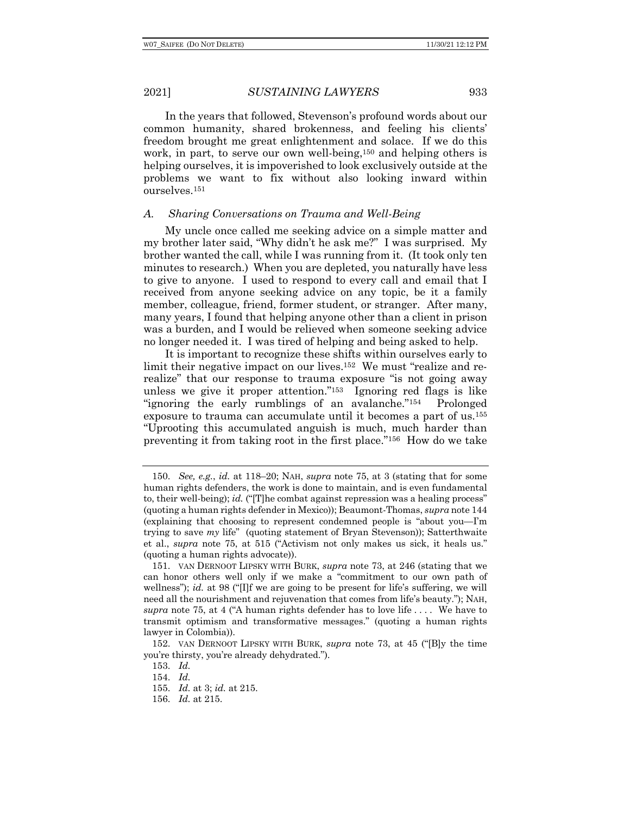In the years that followed, Stevenson's profound words about our common humanity, shared brokenness, and feeling his clients' freedom brought me great enlightenment and solace. If we do this work, in part, to serve our own well-being,150 and helping others is helping ourselves, it is impoverished to look exclusively outside at the problems we want to fix without also looking inward within ourselves.151

# *A. Sharing Conversations on Trauma and Well-Being*

My uncle once called me seeking advice on a simple matter and my brother later said, "Why didn't he ask me?" I was surprised. My brother wanted the call, while I was running from it. (It took only ten minutes to research.) When you are depleted, you naturally have less to give to anyone. I used to respond to every call and email that I received from anyone seeking advice on any topic, be it a family member, colleague, friend, former student, or stranger. After many, many years, I found that helping anyone other than a client in prison was a burden, and I would be relieved when someone seeking advice no longer needed it. I was tired of helping and being asked to help.

It is important to recognize these shifts within ourselves early to limit their negative impact on our lives.152 We must "realize and rerealize" that our response to trauma exposure "is not going away unless we give it proper attention."153 Ignoring red flags is like "ignoring the early rumblings of an avalanche."154 Prolonged exposure to trauma can accumulate until it becomes a part of us.155 "Uprooting this accumulated anguish is much, much harder than preventing it from taking root in the first place."156 How do we take

<sup>150.</sup> *See, e.g.*, *id.* at 118–20; NAH, *supra* note 75, at 3 (stating that for some human rights defenders, the work is done to maintain, and is even fundamental to, their well-being); *id.* ("[T]he combat against repression was a healing process" (quoting a human rights defender in Mexico)); Beaumont-Thomas, *supra* note 144 (explaining that choosing to represent condemned people is "about you—I'm trying to save *my* life" (quoting statement of Bryan Stevenson)); Satterthwaite et al., *supra* note 75, at 515 ("Activism not only makes us sick, it heals us." (quoting a human rights advocate)).

<sup>151.</sup> VAN DERNOOT LIPSKY WITH BURK, *supra* note 73, at 246 (stating that we can honor others well only if we make a "commitment to our own path of wellness"); *id.* at 98 ("If we are going to be present for life's suffering, we will need all the nourishment and rejuvenation that comes from life's beauty."); NAH, *supra* note 75, at 4 ("A human rights defender has to love life . . . . We have to transmit optimism and transformative messages." (quoting a human rights lawyer in Colombia)).

<sup>152.</sup> VAN DERNOOT LIPSKY WITH BURK, *supra* note 73, at 45 ("[B]y the time you're thirsty, you're already dehydrated.").

<sup>153.</sup> *Id.*

<sup>154.</sup> *Id.*

<sup>155.</sup> *Id.* at 3; *id.* at 215.

<sup>156.</sup> *Id.* at 215.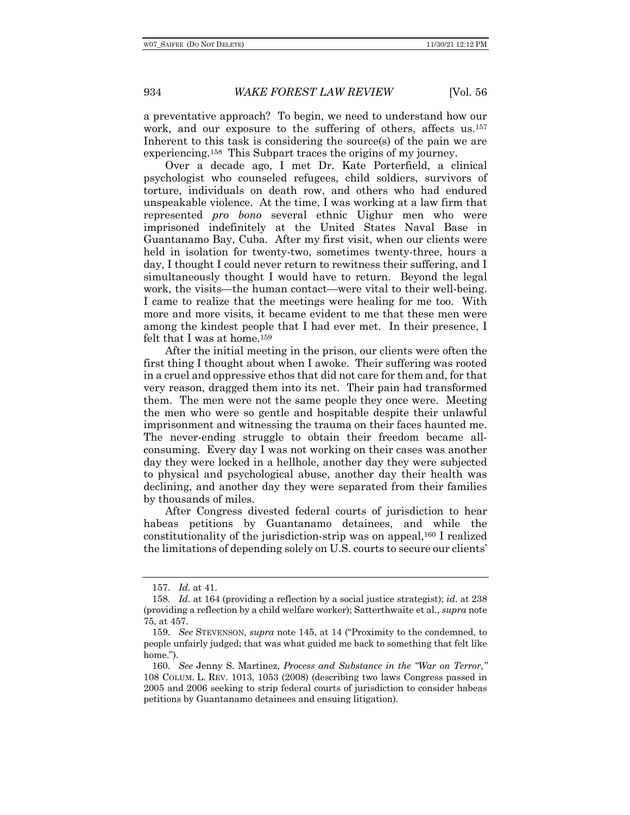a preventative approach? To begin, we need to understand how our work, and our exposure to the suffering of others, affects us.157 Inherent to this task is considering the source(s) of the pain we are experiencing.158 This Subpart traces the origins of my journey.

Over a decade ago, I met Dr. Kate Porterfield, a clinical psychologist who counseled refugees, child soldiers, survivors of torture, individuals on death row, and others who had endured unspeakable violence. At the time, I was working at a law firm that represented *pro bono* several ethnic Uighur men who were imprisoned indefinitely at the United States Naval Base in Guantanamo Bay, Cuba. After my first visit, when our clients were held in isolation for twenty-two, sometimes twenty-three, hours a day, I thought I could never return to rewitness their suffering, and I simultaneously thought I would have to return. Beyond the legal work, the visits—the human contact—were vital to their well-being. I came to realize that the meetings were healing for me too. With more and more visits, it became evident to me that these men were among the kindest people that I had ever met. In their presence, I felt that I was at home.<sup>159</sup>

After the initial meeting in the prison, our clients were often the first thing I thought about when I awoke. Their suffering was rooted in a cruel and oppressive ethos that did not care for them and, for that very reason, dragged them into its net. Their pain had transformed them. The men were not the same people they once were. Meeting the men who were so gentle and hospitable despite their unlawful imprisonment and witnessing the trauma on their faces haunted me. The never-ending struggle to obtain their freedom became allconsuming. Every day I was not working on their cases was another day they were locked in a hellhole, another day they were subjected to physical and psychological abuse, another day their health was declining, and another day they were separated from their families by thousands of miles.

After Congress divested federal courts of jurisdiction to hear habeas petitions by Guantanamo detainees, and while the constitutionality of the jurisdiction-strip was on appeal,160 I realized the limitations of depending solely on U.S. courts to secure our clients'

<sup>157.</sup> *Id.* at 41.

<sup>158.</sup> *Id.* at 164 (providing a reflection by a social justice strategist); *id.* at 238 (providing a reflection by a child welfare worker); Satterthwaite et al., *supra* note 75, at 457.

<sup>159.</sup> *See* STEVENSON, *supra* note 145, at 14 ("Proximity to the condemned, to people unfairly judged; that was what guided me back to something that felt like home.").

<sup>160.</sup> *See* Jenny S. Martinez, *Process and Substance in the "War on Terror*,*"* 108 COLUM. L. REV. 1013, 1053 (2008) (describing two laws Congress passed in 2005 and 2006 seeking to strip federal courts of jurisdiction to consider habeas petitions by Guantanamo detainees and ensuing litigation).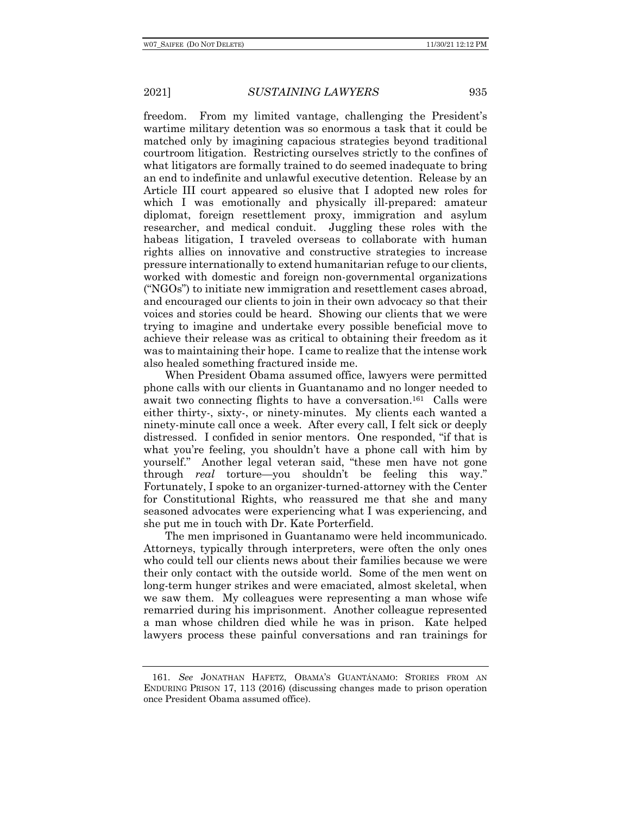freedom. From my limited vantage, challenging the President's wartime military detention was so enormous a task that it could be matched only by imagining capacious strategies beyond traditional courtroom litigation. Restricting ourselves strictly to the confines of what litigators are formally trained to do seemed inadequate to bring an end to indefinite and unlawful executive detention. Release by an Article III court appeared so elusive that I adopted new roles for which I was emotionally and physically ill-prepared: amateur diplomat, foreign resettlement proxy, immigration and asylum researcher, and medical conduit. Juggling these roles with the habeas litigation, I traveled overseas to collaborate with human rights allies on innovative and constructive strategies to increase pressure internationally to extend humanitarian refuge to our clients, worked with domestic and foreign non-governmental organizations ("NGOs") to initiate new immigration and resettlement cases abroad, and encouraged our clients to join in their own advocacy so that their voices and stories could be heard. Showing our clients that we were trying to imagine and undertake every possible beneficial move to achieve their release was as critical to obtaining their freedom as it was to maintaining their hope. I came to realize that the intense work also healed something fractured inside me.

When President Obama assumed office, lawyers were permitted phone calls with our clients in Guantanamo and no longer needed to await two connecting flights to have a conversation.161 Calls were either thirty-, sixty-, or ninety-minutes. My clients each wanted a ninety-minute call once a week. After every call, I felt sick or deeply distressed. I confided in senior mentors. One responded, "if that is what you're feeling, you shouldn't have a phone call with him by yourself." Another legal veteran said, "these men have not gone through *real* torture—you shouldn't be feeling this way." Fortunately, I spoke to an organizer-turned-attorney with the Center for Constitutional Rights, who reassured me that she and many seasoned advocates were experiencing what I was experiencing, and she put me in touch with Dr. Kate Porterfield.

The men imprisoned in Guantanamo were held incommunicado. Attorneys, typically through interpreters, were often the only ones who could tell our clients news about their families because we were their only contact with the outside world. Some of the men went on long-term hunger strikes and were emaciated, almost skeletal, when we saw them. My colleagues were representing a man whose wife remarried during his imprisonment. Another colleague represented a man whose children died while he was in prison. Kate helped lawyers process these painful conversations and ran trainings for

<sup>161.</sup> *See* JONATHAN HAFETZ, OBAMA'S GUANTÁNAMO: STORIES FROM AN ENDURING PRISON 17, 113 (2016) (discussing changes made to prison operation once President Obama assumed office).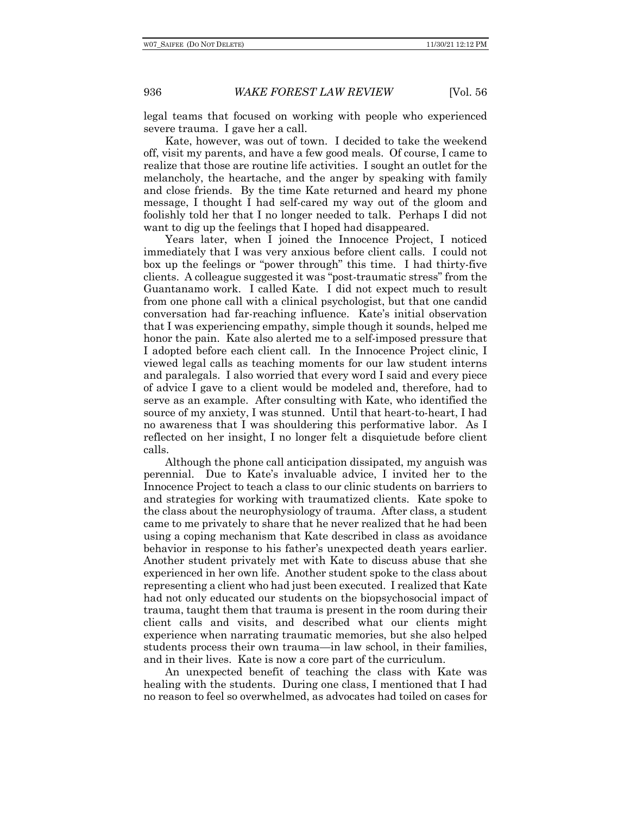legal teams that focused on working with people who experienced severe trauma. I gave her a call.

Kate, however, was out of town. I decided to take the weekend off, visit my parents, and have a few good meals. Of course, I came to realize that those are routine life activities. I sought an outlet for the melancholy, the heartache, and the anger by speaking with family and close friends. By the time Kate returned and heard my phone message, I thought I had self-cared my way out of the gloom and foolishly told her that I no longer needed to talk. Perhaps I did not want to dig up the feelings that I hoped had disappeared.

Years later, when I joined the Innocence Project, I noticed immediately that I was very anxious before client calls. I could not box up the feelings or "power through" this time. I had thirty-five clients. A colleague suggested it was "post-traumatic stress" from the Guantanamo work. I called Kate. I did not expect much to result from one phone call with a clinical psychologist, but that one candid conversation had far-reaching influence. Kate's initial observation that I was experiencing empathy, simple though it sounds, helped me honor the pain. Kate also alerted me to a self-imposed pressure that I adopted before each client call. In the Innocence Project clinic, I viewed legal calls as teaching moments for our law student interns and paralegals. I also worried that every word I said and every piece of advice I gave to a client would be modeled and, therefore, had to serve as an example. After consulting with Kate, who identified the source of my anxiety, I was stunned. Until that heart-to-heart, I had no awareness that I was shouldering this performative labor. As I reflected on her insight, I no longer felt a disquietude before client calls.

Although the phone call anticipation dissipated, my anguish was perennial. Due to Kate's invaluable advice, I invited her to the Innocence Project to teach a class to our clinic students on barriers to and strategies for working with traumatized clients. Kate spoke to the class about the neurophysiology of trauma. After class, a student came to me privately to share that he never realized that he had been using a coping mechanism that Kate described in class as avoidance behavior in response to his father's unexpected death years earlier. Another student privately met with Kate to discuss abuse that she experienced in her own life. Another student spoke to the class about representing a client who had just been executed. I realized that Kate had not only educated our students on the biopsychosocial impact of trauma, taught them that trauma is present in the room during their client calls and visits, and described what our clients might experience when narrating traumatic memories, but she also helped students process their own trauma—in law school, in their families, and in their lives. Kate is now a core part of the curriculum.

An unexpected benefit of teaching the class with Kate was healing with the students. During one class, I mentioned that I had no reason to feel so overwhelmed, as advocates had toiled on cases for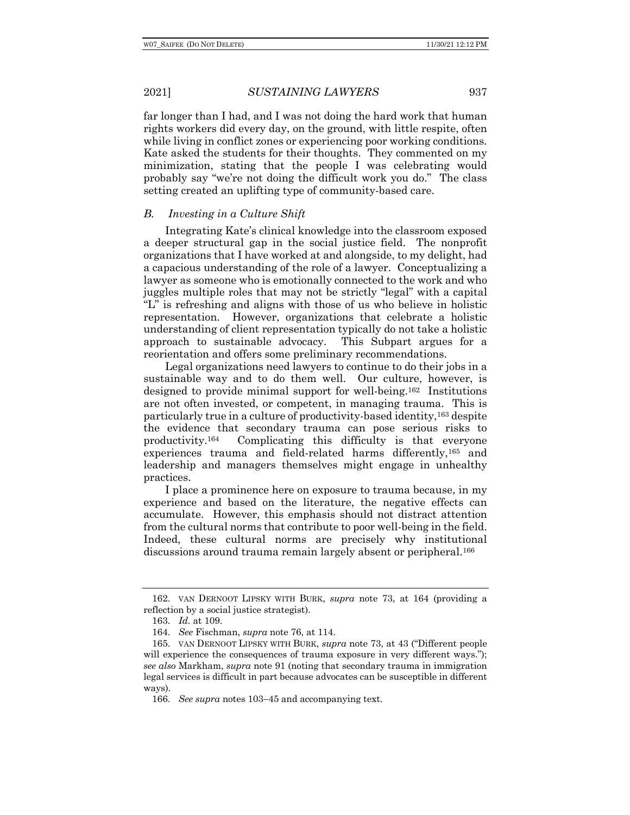far longer than I had, and I was not doing the hard work that human rights workers did every day, on the ground, with little respite, often while living in conflict zones or experiencing poor working conditions. Kate asked the students for their thoughts. They commented on my minimization, stating that the people I was celebrating would probably say "we're not doing the difficult work you do." The class setting created an uplifting type of community-based care.

# *B. Investing in a Culture Shift*

Integrating Kate's clinical knowledge into the classroom exposed a deeper structural gap in the social justice field. The nonprofit organizations that I have worked at and alongside, to my delight, had a capacious understanding of the role of a lawyer. Conceptualizing a lawyer as someone who is emotionally connected to the work and who juggles multiple roles that may not be strictly "legal" with a capital "L" is refreshing and aligns with those of us who believe in holistic representation. However, organizations that celebrate a holistic understanding of client representation typically do not take a holistic approach to sustainable advocacy. This Subpart argues for a reorientation and offers some preliminary recommendations.

Legal organizations need lawyers to continue to do their jobs in a sustainable way and to do them well. Our culture, however, is designed to provide minimal support for well-being.162 Institutions are not often invested, or competent, in managing trauma. This is particularly true in a culture of productivity-based identity,163 despite the evidence that secondary trauma can pose serious risks to productivity.164 Complicating this difficulty is that everyone experiences trauma and field-related harms differently,165 and leadership and managers themselves might engage in unhealthy practices.

I place a prominence here on exposure to trauma because, in my experience and based on the literature, the negative effects can accumulate. However, this emphasis should not distract attention from the cultural norms that contribute to poor well-being in the field. Indeed, these cultural norms are precisely why institutional discussions around trauma remain largely absent or peripheral.166

<sup>162.</sup> VAN DERNOOT LIPSKY WITH BURK, *supra* note 73, at 164 (providing a reflection by a social justice strategist).

<sup>163.</sup> *Id.* at 109.

<sup>164.</sup> *See* Fischman, *supra* note 76, at 114.

<sup>165.</sup> VAN DERNOOT LIPSKY WITH BURK, *supra* note 73, at 43 ("Different people will experience the consequences of trauma exposure in very different ways."); *see also* Markham, *supra* note 91 (noting that secondary trauma in immigration legal services is difficult in part because advocates can be susceptible in different ways).

<sup>166.</sup> *See supra* notes 103-45 and accompanying text.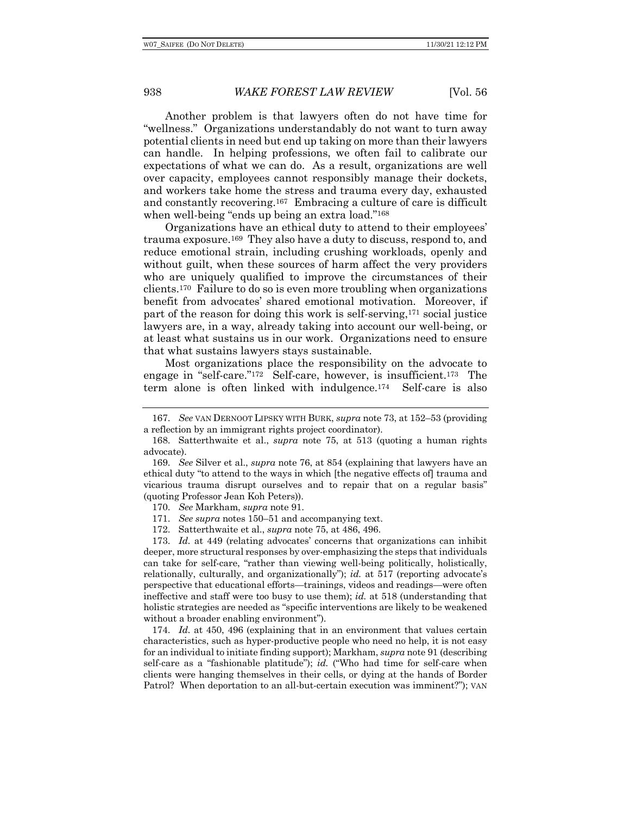Another problem is that lawyers often do not have time for "wellness." Organizations understandably do not want to turn away potential clients in need but end up taking on more than their lawyers can handle. In helping professions, we often fail to calibrate our expectations of what we can do. As a result, organizations are well over capacity, employees cannot responsibly manage their dockets, and workers take home the stress and trauma every day, exhausted and constantly recovering.167 Embracing a culture of care is difficult when well-being "ends up being an extra load."168

Organizations have an ethical duty to attend to their employees' trauma exposure.169 They also have a duty to discuss, respond to, and reduce emotional strain, including crushing workloads, openly and without guilt, when these sources of harm affect the very providers who are uniquely qualified to improve the circumstances of their clients.170 Failure to do so is even more troubling when organizations benefit from advocates' shared emotional motivation. Moreover, if part of the reason for doing this work is self-serving,171 social justice lawyers are, in a way, already taking into account our well-being, or at least what sustains us in our work. Organizations need to ensure that what sustains lawyers stays sustainable.

Most organizations place the responsibility on the advocate to engage in "self-care."172 Self-care, however, is insufficient.173 The term alone is often linked with indulgence.174 Self-care is also

170. *See* Markham, *supra* note 91.

171. *See supra* notes 150–51 and accompanying text.

172. Satterthwaite et al., *supra* note 75, at 486, 496.

173. *Id.* at 449 (relating advocates' concerns that organizations can inhibit deeper, more structural responses by over-emphasizing the steps that individuals can take for self-care, "rather than viewing well-being politically, holistically, relationally, culturally, and organizationally"); *id.* at 517 (reporting advocate's perspective that educational efforts—trainings, videos and readings—were often ineffective and staff were too busy to use them); *id.* at 518 (understanding that holistic strategies are needed as "specific interventions are likely to be weakened without a broader enabling environment").

174. *Id.* at 450, 496 (explaining that in an environment that values certain characteristics, such as hyper-productive people who need no help, it is not easy for an individual to initiate finding support); Markham, *supra* note 91 (describing self-care as a "fashionable platitude"); *id.* ("Who had time for self-care when clients were hanging themselves in their cells, or dying at the hands of Border Patrol? When deportation to an all-but-certain execution was imminent?"); VAN

<sup>167.</sup> *See* VAN DERNOOT LIPSKY WITH BURK, *supra* note 73, at 152–53 (providing a reflection by an immigrant rights project coordinator).

<sup>168.</sup> Satterthwaite et al., *supra* note 75, at 513 (quoting a human rights advocate).

<sup>169.</sup> *See* Silver et al., *supra* note 76, at 854 (explaining that lawyers have an ethical duty "to attend to the ways in which [the negative effects of] trauma and vicarious trauma disrupt ourselves and to repair that on a regular basis" (quoting Professor Jean Koh Peters)).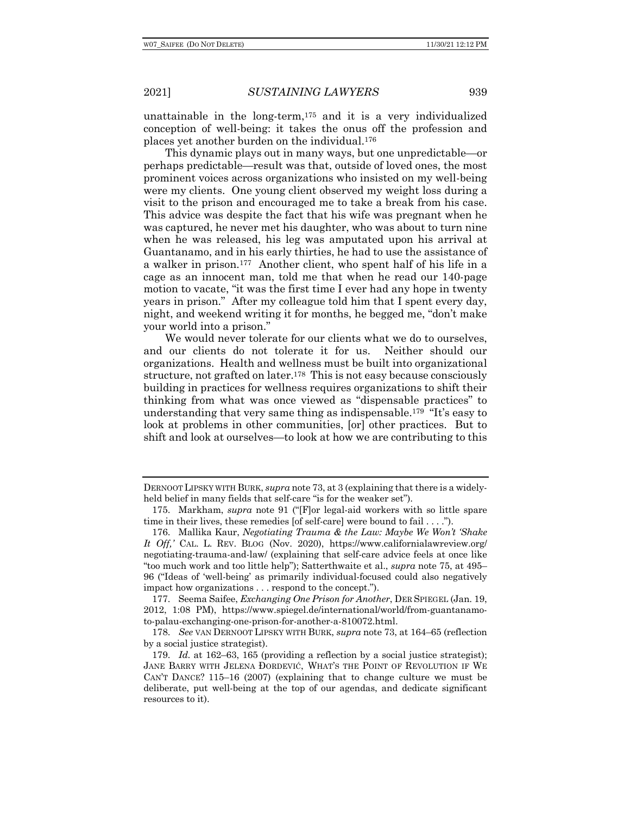unattainable in the long-term,175 and it is a very individualized conception of well-being: it takes the onus off the profession and places yet another burden on the individual.176

This dynamic plays out in many ways, but one unpredictable—or perhaps predictable—result was that, outside of loved ones, the most prominent voices across organizations who insisted on my well-being were my clients. One young client observed my weight loss during a visit to the prison and encouraged me to take a break from his case. This advice was despite the fact that his wife was pregnant when he was captured, he never met his daughter, who was about to turn nine when he was released, his leg was amputated upon his arrival at Guantanamo, and in his early thirties, he had to use the assistance of a walker in prison.177 Another client, who spent half of his life in a cage as an innocent man, told me that when he read our 140-page motion to vacate, "it was the first time I ever had any hope in twenty years in prison." After my colleague told him that I spent every day, night, and weekend writing it for months, he begged me, "don't make your world into a prison."

We would never tolerate for our clients what we do to ourselves, and our clients do not tolerate it for us. Neither should our organizations. Health and wellness must be built into organizational structure, not grafted on later.178 This is not easy because consciously building in practices for wellness requires organizations to shift their thinking from what was once viewed as "dispensable practices" to understanding that very same thing as indispensable.179 "It's easy to look at problems in other communities, [or] other practices. But to shift and look at ourselves—to look at how we are contributing to this

DERNOOT LIPSKY WITH BURK, *supra* note 73, at 3 (explaining that there is a widelyheld belief in many fields that self-care "is for the weaker set").

<sup>175.</sup> Markham, *supra* note 91 ("[F]or legal-aid workers with so little spare time in their lives, these remedies [of self-care] were bound to fail . . . .").

<sup>176.</sup> Mallika Kaur, *Negotiating Trauma & the Law: Maybe We Won't 'Shake It Off,'* CAL. L. REV. BLOG (Nov. 2020), https://www.californialawreview.org/ negotiating-trauma-and-law/ (explaining that self-care advice feels at once like "too much work and too little help"); Satterthwaite et al., *supra* note 75, at 495– 96 ("Ideas of 'well-being' as primarily individual-focused could also negatively impact how organizations . . . respond to the concept.").

<sup>177.</sup> Seema Saifee, *Exchanging One Prison for Another*, DER SPIEGEL (Jan. 19, 2012, 1:08 PM), https://www.spiegel.de/international/world/from-guantanamoto-palau-exchanging-one-prison-for-another-a-810072.html.

<sup>178.</sup> *See* VAN DERNOOT LIPSKY WITH BURK, *supra* note 73, at 164–65 (reflection by a social justice strategist).

<sup>179.</sup> *Id.* at 162–63, 165 (providing a reflection by a social justice strategist); JANE BARRY WITH JELENA ÐORDEVIĆ, WHAT'S THE POINT OF REVOLUTION IF WE CAN'T DANCE? 115–16 (2007) (explaining that to change culture we must be deliberate, put well-being at the top of our agendas, and dedicate significant resources to it).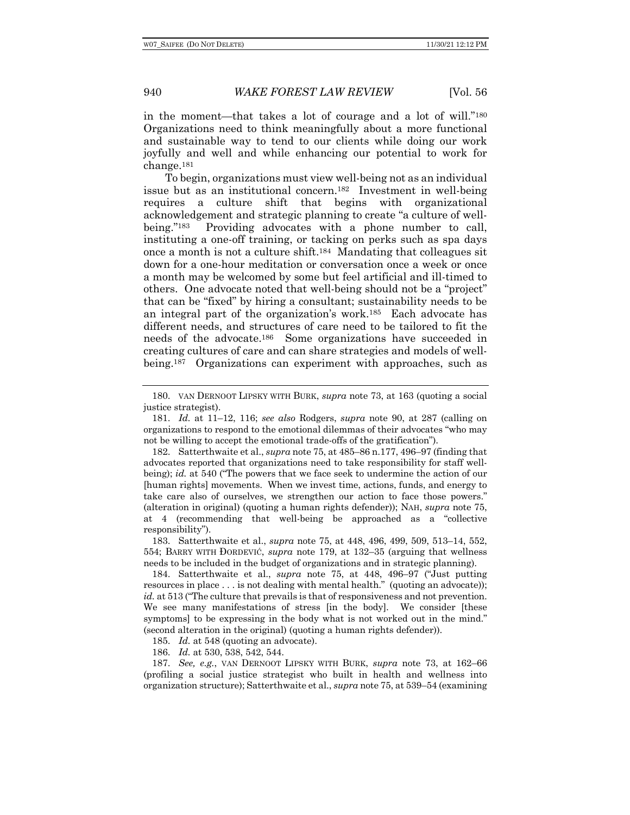in the moment—that takes a lot of courage and a lot of will."180 Organizations need to think meaningfully about a more functional and sustainable way to tend to our clients while doing our work joyfully and well and while enhancing our potential to work for change.181

To begin, organizations must view well-being not as an individual issue but as an institutional concern.182 Investment in well-being requires a culture shift that begins with organizational acknowledgement and strategic planning to create "a culture of wellbeing."183 Providing advocates with a phone number to call, instituting a one-off training, or tacking on perks such as spa days once a month is not a culture shift.184 Mandating that colleagues sit down for a one-hour meditation or conversation once a week or once a month may be welcomed by some but feel artificial and ill-timed to others. One advocate noted that well-being should not be a "project" that can be "fixed" by hiring a consultant; sustainability needs to be an integral part of the organization's work.185 Each advocate has different needs, and structures of care need to be tailored to fit the needs of the advocate.186 Some organizations have succeeded in creating cultures of care and can share strategies and models of wellbeing.187 Organizations can experiment with approaches, such as

185. *Id.* at 548 (quoting an advocate).

186. *Id.* at 530, 538, 542, 544.

187. *See, e.g.*, VAN DERNOOT LIPSKY WITH BURK, *supra* note 73, at 162–66 (profiling a social justice strategist who built in health and wellness into organization structure); Satterthwaite et al., *supra* note 75, at 539–54 (examining

<sup>180.</sup> VAN DERNOOT LIPSKY WITH BURK, *supra* note 73, at 163 (quoting a social justice strategist).

<sup>181.</sup> *Id.* at 11–12, 116; *see also* Rodgers, *supra* note 90, at 287 (calling on organizations to respond to the emotional dilemmas of their advocates "who may not be willing to accept the emotional trade-offs of the gratification").

<sup>182.</sup> Satterthwaite et al., *supra* note 75, at 485–86 n.177, 496–97 (finding that advocates reported that organizations need to take responsibility for staff wellbeing); *id.* at 540 ("The powers that we face seek to undermine the action of our [human rights] movements. When we invest time, actions, funds, and energy to take care also of ourselves, we strengthen our action to face those powers." (alteration in original) (quoting a human rights defender)); NAH, *supra* note 75, at 4 (recommending that well-being be approached as a "collective responsibility").

<sup>183.</sup> Satterthwaite et al., *supra* note 75, at 448, 496, 499, 509, 513–14, 552, 554; BARRY WITH ÐORDEVIĆ, *supra* note 179, at 132–35 (arguing that wellness needs to be included in the budget of organizations and in strategic planning).

<sup>184.</sup> Satterthwaite et al., *supra* note 75, at 448, 496–97 ("Just putting resources in place . . . is not dealing with mental health." (quoting an advocate)); *id.* at 513 ("The culture that prevails is that of responsiveness and not prevention. We see many manifestations of stress [in the body]. We consider [these symptoms] to be expressing in the body what is not worked out in the mind." (second alteration in the original) (quoting a human rights defender)).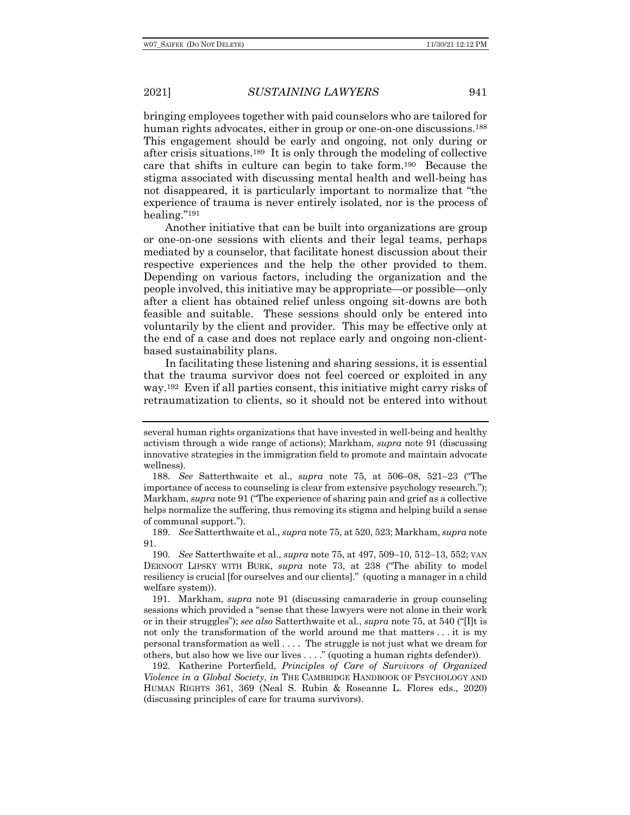bringing employees together with paid counselors who are tailored for human rights advocates, either in group or one-on-one discussions.<sup>188</sup> This engagement should be early and ongoing, not only during or after crisis situations.189 It is only through the modeling of collective care that shifts in culture can begin to take form.190 Because the stigma associated with discussing mental health and well-being has not disappeared, it is particularly important to normalize that "the experience of trauma is never entirely isolated, nor is the process of healing."191

Another initiative that can be built into organizations are group or one-on-one sessions with clients and their legal teams, perhaps mediated by a counselor, that facilitate honest discussion about their respective experiences and the help the other provided to them. Depending on various factors, including the organization and the people involved, this initiative may be appropriate—or possible—only after a client has obtained relief unless ongoing sit-downs are both feasible and suitable. These sessions should only be entered into voluntarily by the client and provider. This may be effective only at the end of a case and does not replace early and ongoing non-clientbased sustainability plans.

In facilitating these listening and sharing sessions, it is essential that the trauma survivor does not feel coerced or exploited in any way.192 Even if all parties consent, this initiative might carry risks of retraumatization to clients, so it should not be entered into without

several human rights organizations that have invested in well-being and healthy activism through a wide range of actions); Markham, *supra* note 91 (discussing innovative strategies in the immigration field to promote and maintain advocate wellness).

<sup>188.</sup> *See* Satterthwaite et al., *supra* note 75, at 506–08, 521–23 ("The importance of access to counseling is clear from extensive psychology research."); Markham, *supra* note 91 ("The experience of sharing pain and grief as a collective helps normalize the suffering, thus removing its stigma and helping build a sense of communal support.").

<sup>189.</sup> *See* Satterthwaite et al., *supra* note 75, at 520, 523; Markham, *supra* note 91.

<sup>190.</sup> *See* Satterthwaite et al., *supra* note 75, at 497, 509–10, 512–13, 552; VAN DERNOOT LIPSKY WITH BURK, *supra* note 73, at 238 ("The ability to model resiliency is crucial [for ourselves and our clients]." (quoting a manager in a child welfare system)).

<sup>191.</sup> Markham, *supra* note 91 (discussing camaraderie in group counseling sessions which provided a "sense that these lawyers were not alone in their work or in their struggles"); *see also* Satterthwaite et al., *supra* note 75, at 540 ("[I]t is not only the transformation of the world around me that matters . . . it is my personal transformation as well . . . . The struggle is not just what we dream for others, but also how we live our lives . . . ." (quoting a human rights defender)).

<sup>192.</sup> Katherine Porterfield, *Principles of Care of Survivors of Organized Violence in a Global Society*, *in* THE CAMBRIDGE HANDBOOK OF PSYCHOLOGY AND HUMAN RIGHTS 361, 369 (Neal S. Rubin & Roseanne L. Flores eds., 2020) (discussing principles of care for trauma survivors).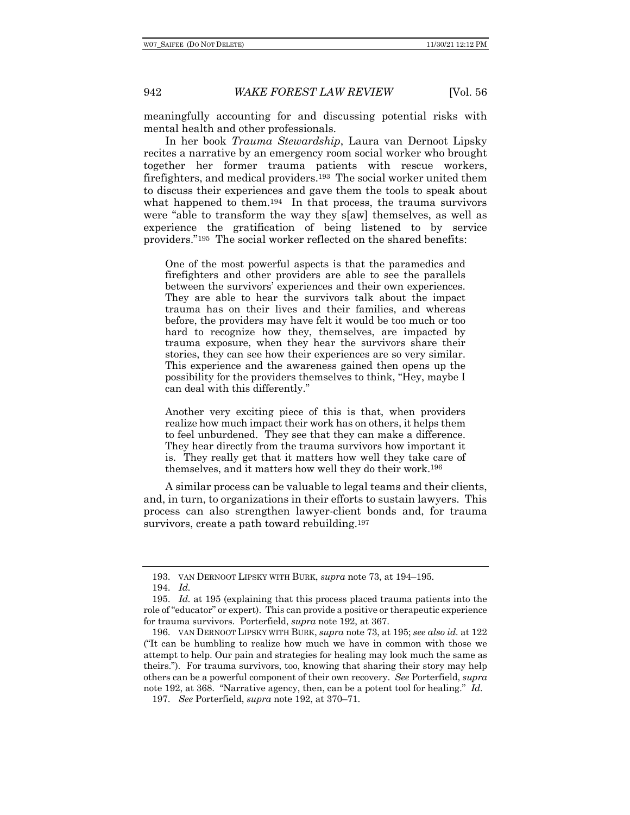meaningfully accounting for and discussing potential risks with mental health and other professionals.

In her book *Trauma Stewardship*, Laura van Dernoot Lipsky recites a narrative by an emergency room social worker who brought together her former trauma patients with rescue workers, firefighters, and medical providers.193 The social worker united them to discuss their experiences and gave them the tools to speak about what happened to them.<sup>194</sup> In that process, the trauma survivors were "able to transform the way they s[aw] themselves, as well as experience the gratification of being listened to by service providers."195 The social worker reflected on the shared benefits:

One of the most powerful aspects is that the paramedics and firefighters and other providers are able to see the parallels between the survivors' experiences and their own experiences. They are able to hear the survivors talk about the impact trauma has on their lives and their families, and whereas before, the providers may have felt it would be too much or too hard to recognize how they, themselves, are impacted by trauma exposure, when they hear the survivors share their stories, they can see how their experiences are so very similar. This experience and the awareness gained then opens up the possibility for the providers themselves to think, "Hey, maybe I can deal with this differently."

Another very exciting piece of this is that, when providers realize how much impact their work has on others, it helps them to feel unburdened. They see that they can make a difference. They hear directly from the trauma survivors how important it is. They really get that it matters how well they take care of themselves, and it matters how well they do their work.196

A similar process can be valuable to legal teams and their clients, and, in turn, to organizations in their efforts to sustain lawyers. This process can also strengthen lawyer-client bonds and, for trauma survivors, create a path toward rebuilding.197

<sup>193.</sup> VAN DERNOOT LIPSKY WITH BURK, *supra* note 73, at 194–195.

<sup>194.</sup> *Id.*

<sup>195.</sup> *Id.* at 195 (explaining that this process placed trauma patients into the role of "educator" or expert). This can provide a positive or therapeutic experience for trauma survivors. Porterfield, *supra* note 192, at 367.

<sup>196.</sup> VAN DERNOOT LIPSKY WITH BURK, *supra* note 73, at 195; *see also id.* at 122 ("It can be humbling to realize how much we have in common with those we attempt to help. Our pain and strategies for healing may look much the same as theirs."). For trauma survivors, too, knowing that sharing their story may help others can be a powerful component of their own recovery. *See* Porterfield, *supra* note 192, at 368. "Narrative agency, then, can be a potent tool for healing." *Id.*

<sup>197.</sup> *See* Porterfield, *supra* note 192, at 370–71.